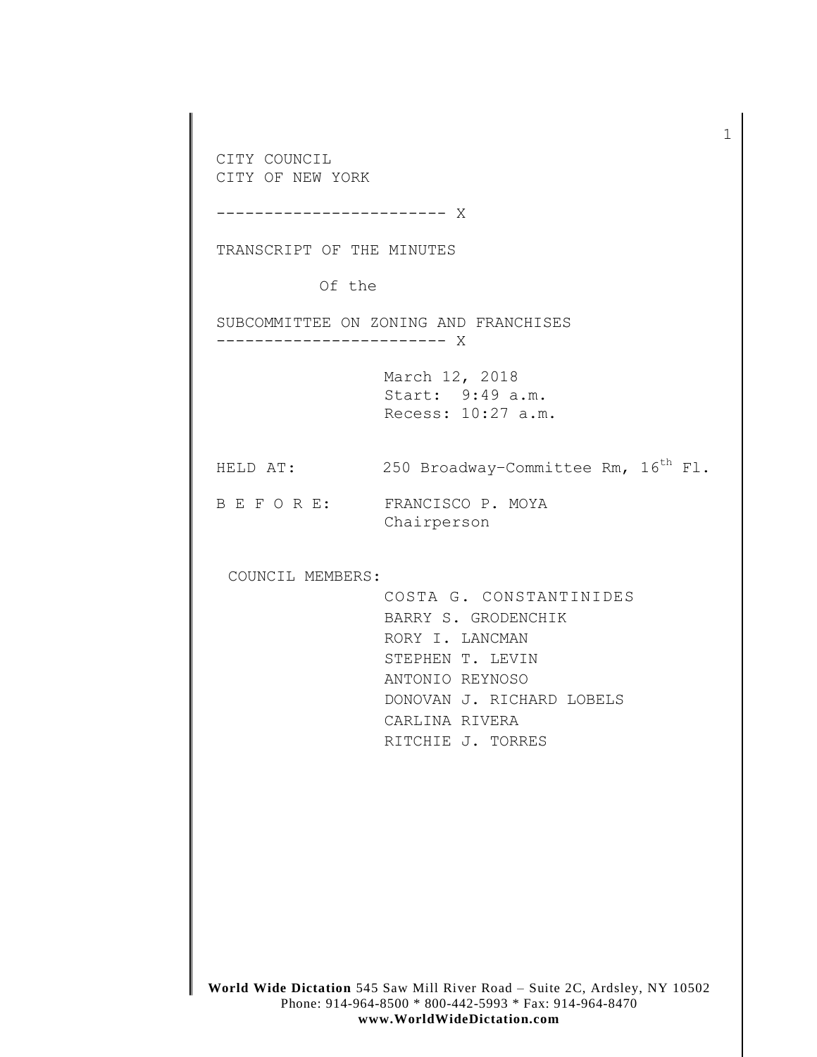**World Wide Dictation** 545 Saw Mill River Road – Suite 2C, Ardsley, NY 10502 CITY COUNCIL CITY OF NEW YORK ------------------------ X TRANSCRIPT OF THE MINUTES Of the SUBCOMMITTEE ON ZONING AND FRANCHISES ------------------------ X March 12, 2018 Start: 9:49 a.m. Recess: 10:27 a.m. HELD AT:  $250$  Broadway-Committee Rm,  $16^{th}$  Fl. B E F O R E: FRANCISCO P. MOYA Chairperson COUNCIL MEMBERS: COSTA G. CONSTANTINIDES BARRY S. GRODENCHIK RORY I. LANCMAN STEPHEN T. LEVIN ANTONIO REYNOSO DONOVAN J. RICHARD LOBELS CARLINA RIVERA RITCHIE J. TORRES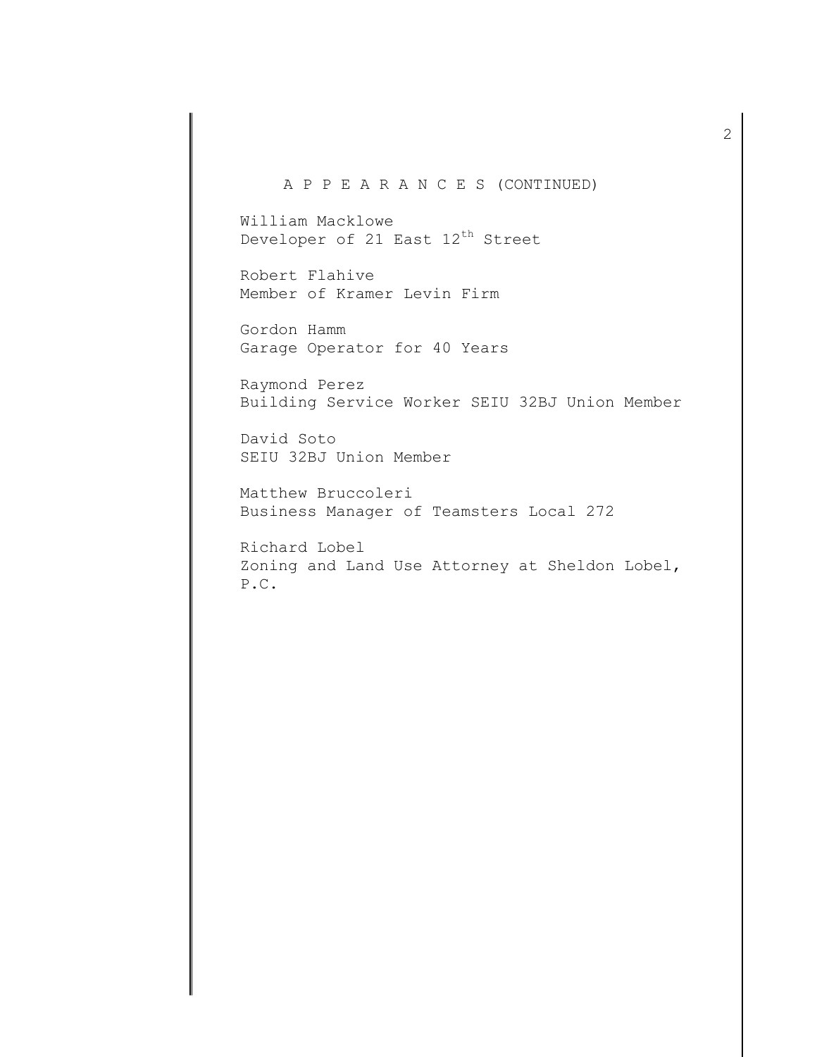## A P P E A R A N C E S (CONTINUED)

William Macklowe Developer of 21 East  $12^{th}$  Street

Robert Flahive Member of Kramer Levin Firm

Gordon Hamm Garage Operator for 40 Years

Raymond Perez Building Service Worker SEIU 32BJ Union Member

David Soto SEIU 32BJ Union Member

Matthew Bruccoleri Business Manager of Teamsters Local 272

Richard Lobel Zoning and Land Use Attorney at Sheldon Lobel, P.C.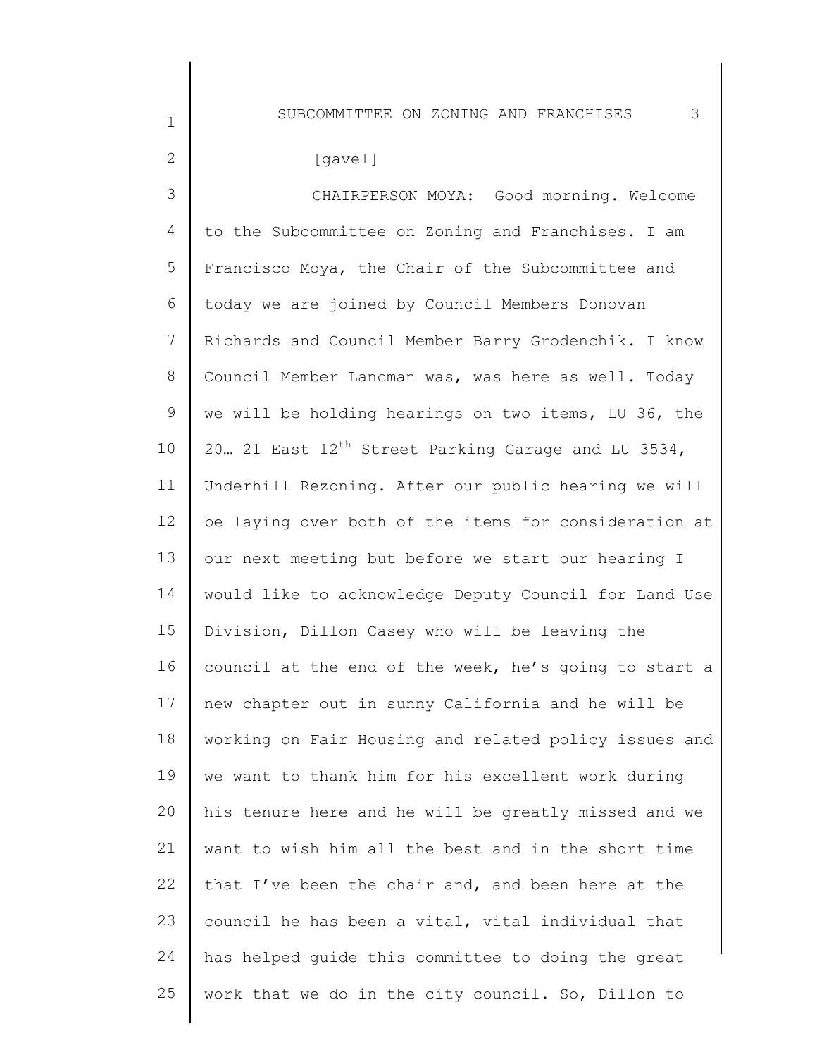SUBCOMMITTEE ON ZONING AND FRANCHISES 3

| $\mathbf 1$     | SUBCOMMITIEE ON ZONING AND FRANCHISES<br>J.                     |
|-----------------|-----------------------------------------------------------------|
| $\overline{2}$  | [gavel]                                                         |
| 3               | CHAIRPERSON MOYA: Good morning. Welcome                         |
| 4               | to the Subcommittee on Zoning and Franchises. I am              |
| 5               | Francisco Moya, the Chair of the Subcommittee and               |
| 6               | today we are joined by Council Members Donovan                  |
| $7\phantom{.}$  | Richards and Council Member Barry Grodenchik. I know            |
| 8               | Council Member Lancman was, was here as well. Today             |
| 9               | we will be holding hearings on two items, LU 36, the            |
| 10              | 20. 21 East 12 <sup>th</sup> Street Parking Garage and LU 3534, |
| 11              | Underhill Rezoning. After our public hearing we will            |
| 12 <sup>°</sup> | be laying over both of the items for consideration at           |
| 13              | our next meeting but before we start our hearing I              |
| 14              | would like to acknowledge Deputy Council for Land Use           |
| 15              | Division, Dillon Casey who will be leaving the                  |
| 16              | council at the end of the week, he's going to start a           |
| 17              | new chapter out in sunny California and he will be              |
| 18              | working on Fair Housing and related policy issues and           |
| 19              | we want to thank him for his excellent work during              |
| 20              | his tenure here and he will be greatly missed and we            |
| 21              | want to wish him all the best and in the short time             |
| 22              | that I've been the chair and, and been here at the              |
| 23              | council he has been a vital, vital individual that              |
| 24              | has helped quide this committee to doing the great              |
| 25              | work that we do in the city council. So, Dillon to              |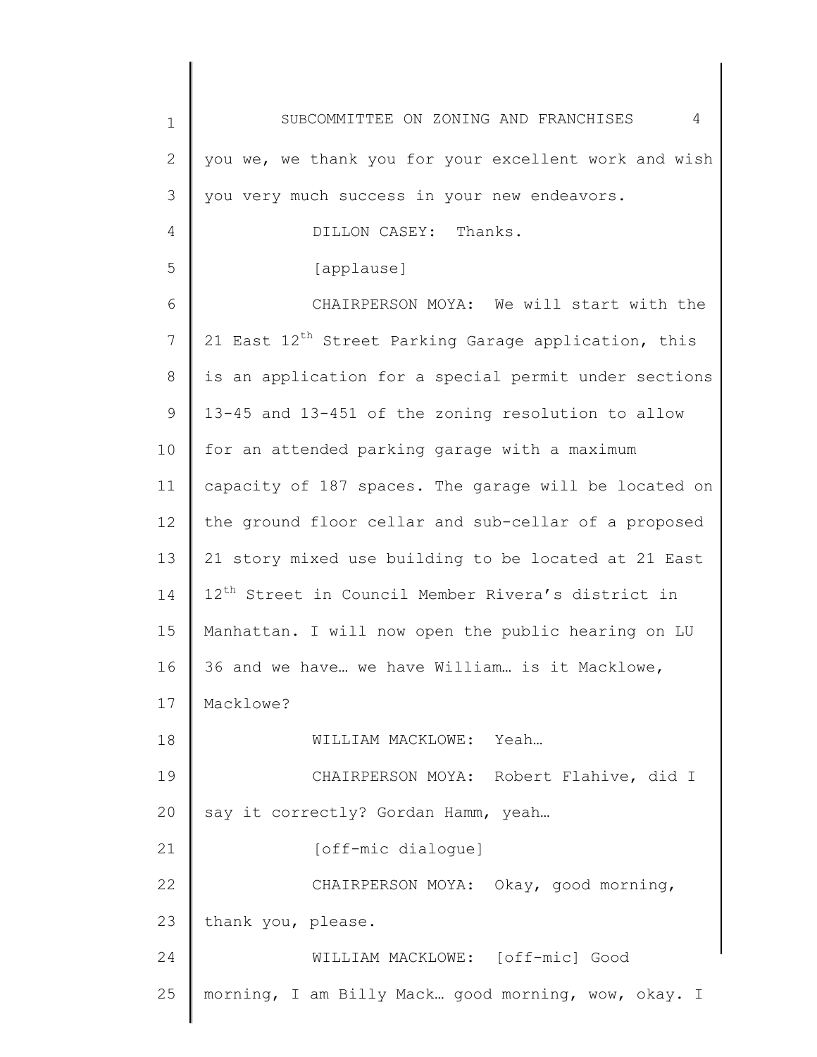| $\mathbf 1$    | 4<br>SUBCOMMITTEE ON ZONING AND FRANCHISES                       |
|----------------|------------------------------------------------------------------|
| 2              | you we, we thank you for your excellent work and wish            |
| 3              | you very much success in your new endeavors.                     |
| 4              | DILLON CASEY: Thanks.                                            |
| 5              | [applause]                                                       |
| 6              | CHAIRPERSON MOYA: We will start with the                         |
| $7\phantom{.}$ | 21 East 12 <sup>th</sup> Street Parking Garage application, this |
| 8              | is an application for a special permit under sections            |
| 9              | 13-45 and 13-451 of the zoning resolution to allow               |
| 10             | for an attended parking garage with a maximum                    |
| 11             | capacity of 187 spaces. The garage will be located on            |
| 12             | the ground floor cellar and sub-cellar of a proposed             |
| 13             | 21 story mixed use building to be located at 21 East             |
| 14             | 12 <sup>th</sup> Street in Council Member Rivera's district in   |
| 15             | Manhattan. I will now open the public hearing on LU              |
| 16             | 36 and we have we have William is it Macklowe,                   |
| 17             | Macklowe?                                                        |
| 18             | WILLIAM MACKLOWE: Yeah                                           |
| 19             | CHAIRPERSON MOYA: Robert Flahive, did I                          |
| 20             | say it correctly? Gordan Hamm, yeah                              |
| 21             | [off-mic dialogue]                                               |
| 22             | CHAIRPERSON MOYA: Okay, good morning,                            |
| 23             | thank you, please.                                               |
| 24             | WILLIAM MACKLOWE: [off-mic] Good                                 |
| 25             | morning, I am Billy Mack good morning, wow, okay. I              |
|                |                                                                  |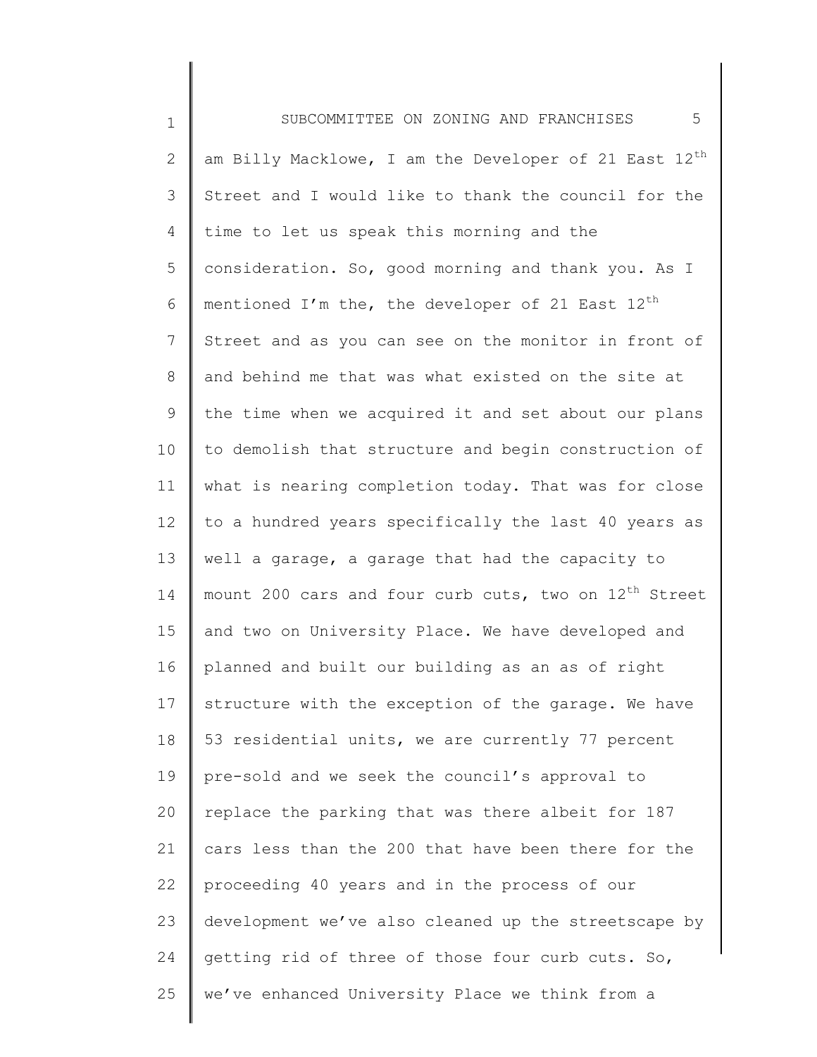1 2 3 4 5 6 7 8 9 10 11 12 13 14 15 16 17 18 19 20 21 22 23 24 25 SUBCOMMITTEE ON ZONING AND FRANCHISES 5 am Billy Macklowe, I am the Developer of 21 East  $12^{th}$ Street and I would like to thank the council for the time to let us speak this morning and the consideration. So, good morning and thank you. As I mentioned I'm the, the developer of 21 East  $12^{th}$ Street and as you can see on the monitor in front of and behind me that was what existed on the site at the time when we acquired it and set about our plans to demolish that structure and begin construction of what is nearing completion today. That was for close to a hundred years specifically the last 40 years as well a garage, a garage that had the capacity to mount 200 cars and four curb cuts, two on  $12<sup>th</sup>$  Street and two on University Place. We have developed and planned and built our building as an as of right structure with the exception of the garage. We have 53 residential units, we are currently 77 percent pre-sold and we seek the council's approval to replace the parking that was there albeit for 187 cars less than the 200 that have been there for the proceeding 40 years and in the process of our development we've also cleaned up the streetscape by getting rid of three of those four curb cuts. So, we've enhanced University Place we think from a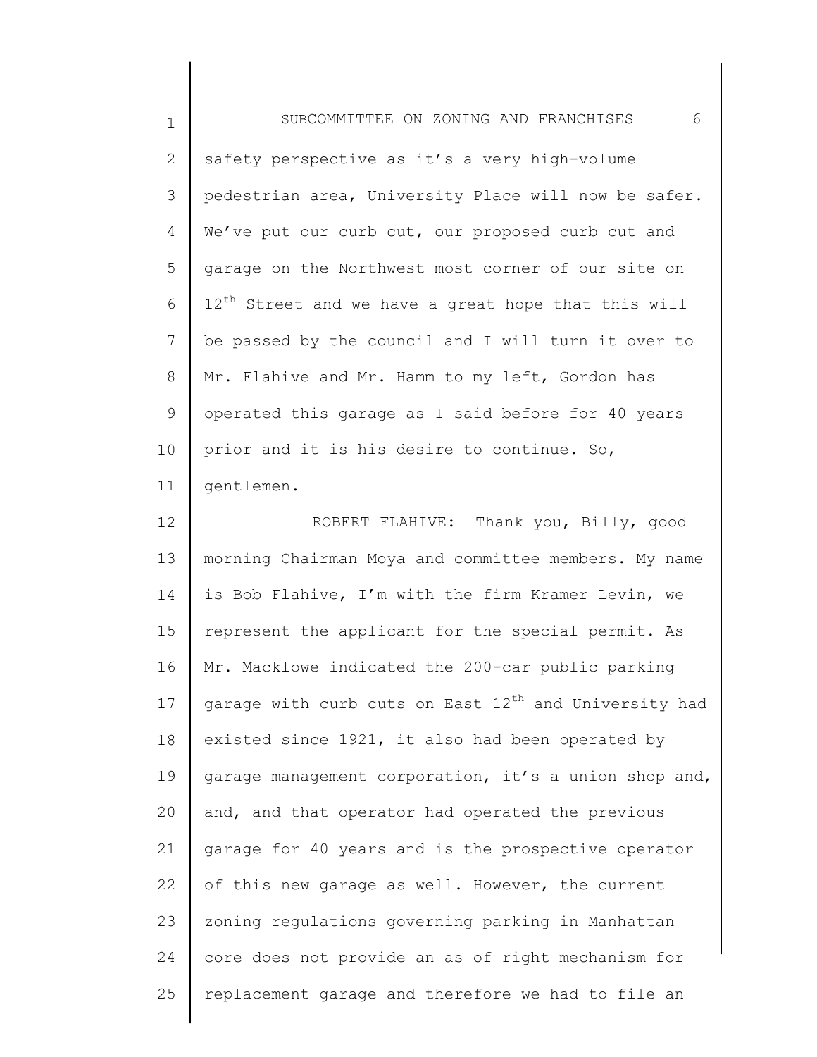| $\mathbf 1$     | 6<br>SUBCOMMITTEE ON ZONING AND FRANCHISES                        |
|-----------------|-------------------------------------------------------------------|
| 2               | safety perspective as it's a very high-volume                     |
| 3               | pedestrian area, University Place will now be safer.              |
| 4               | We've put our curb cut, our proposed curb cut and                 |
| 5               | garage on the Northwest most corner of our site on                |
| 6               | 12 <sup>th</sup> Street and we have a great hope that this will   |
| $7\phantom{.0}$ | be passed by the council and I will turn it over to               |
| 8               | Mr. Flahive and Mr. Hamm to my left, Gordon has                   |
| 9               | operated this garage as I said before for 40 years                |
| 10              | prior and it is his desire to continue. So,                       |
| 11              | gentlemen.                                                        |
| 12              | ROBERT FLAHIVE: Thank you, Billy, good                            |
| 13              | morning Chairman Moya and committee members. My name              |
| 14              | is Bob Flahive, I'm with the firm Kramer Levin, we                |
| 15              | represent the applicant for the special permit. As                |
| 16              | Mr. Macklowe indicated the 200-car public parking                 |
| 17              | garage with curb cuts on East 12 <sup>th</sup> and University had |
| 18              | existed since 1921, it also had been operated by                  |
| 19              | garage management corporation, it's a union shop and,             |
| 20              | and, and that operator had operated the previous                  |
| 21              | garage for 40 years and is the prospective operator               |
| 22              | of this new garage as well. However, the current                  |
| 23              | zoning regulations governing parking in Manhattan                 |
| 24              | core does not provide an as of right mechanism for                |
| 25              | replacement garage and therefore we had to file an                |
|                 |                                                                   |

 $\begin{array}{c} \hline \end{array}$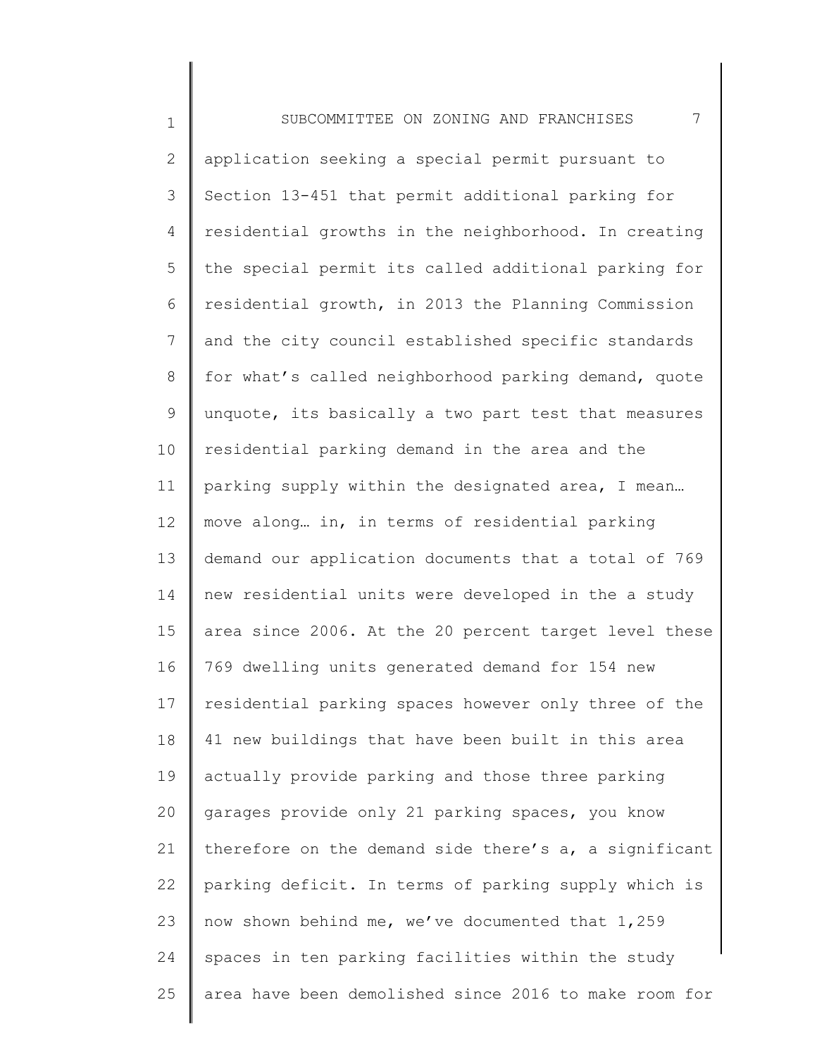1 2 3 4 5 6 7 8 9 10 11 12 13 14 15 16 17 18 19 20 21 22 23 24 25 SUBCOMMITTEE ON ZONING AND FRANCHISES 7 application seeking a special permit pursuant to Section 13-451 that permit additional parking for residential growths in the neighborhood. In creating the special permit its called additional parking for residential growth, in 2013 the Planning Commission and the city council established specific standards for what's called neighborhood parking demand, quote unquote, its basically a two part test that measures residential parking demand in the area and the parking supply within the designated area, I mean… move along… in, in terms of residential parking demand our application documents that a total of 769 new residential units were developed in the a study area since 2006. At the 20 percent target level these 769 dwelling units generated demand for 154 new residential parking spaces however only three of the 41 new buildings that have been built in this area actually provide parking and those three parking garages provide only 21 parking spaces, you know therefore on the demand side there's a, a significant parking deficit. In terms of parking supply which is now shown behind me, we've documented that 1,259 spaces in ten parking facilities within the study area have been demolished since 2016 to make room for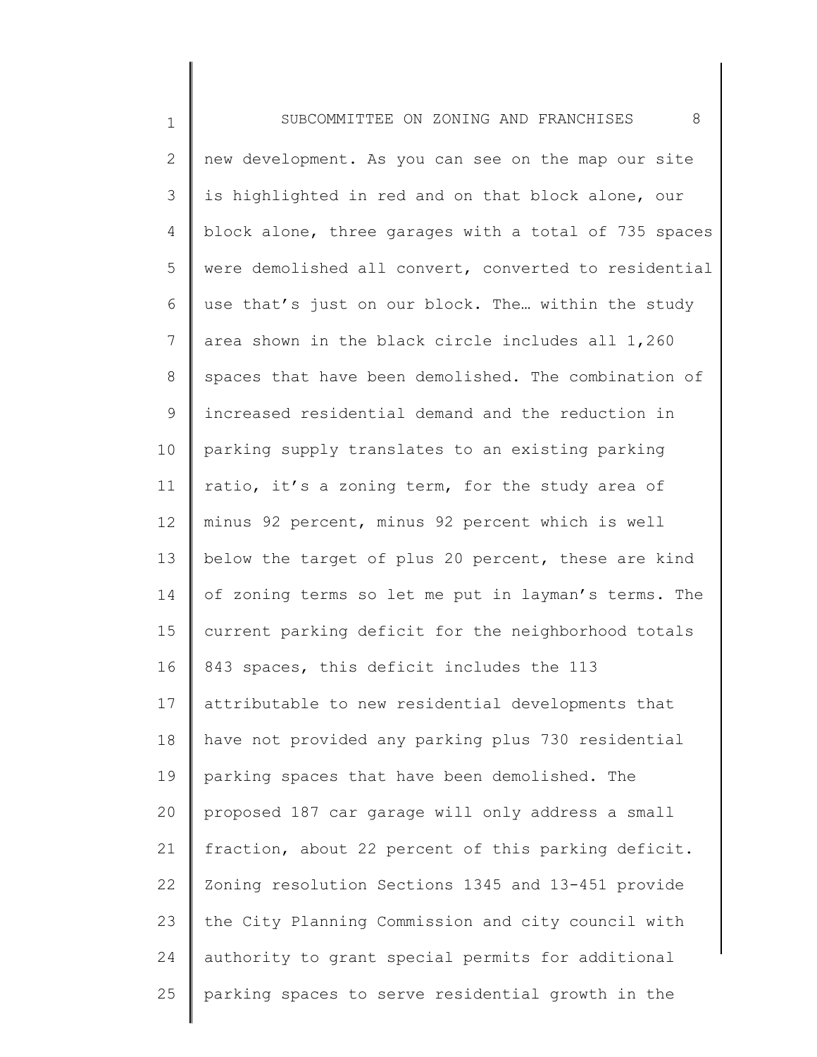1 2 3 4 5 6 7 8 9 10 11 12 13 14 15 16 17 18 19 20 21 22 23 24 25 SUBCOMMITTEE ON ZONING AND FRANCHISES 8 new development. As you can see on the map our site is highlighted in red and on that block alone, our block alone, three garages with a total of 735 spaces were demolished all convert, converted to residential use that's just on our block. The… within the study area shown in the black circle includes all 1,260 spaces that have been demolished. The combination of increased residential demand and the reduction in parking supply translates to an existing parking ratio, it's a zoning term, for the study area of minus 92 percent, minus 92 percent which is well below the target of plus 20 percent, these are kind of zoning terms so let me put in layman's terms. The current parking deficit for the neighborhood totals 843 spaces, this deficit includes the 113 attributable to new residential developments that have not provided any parking plus 730 residential parking spaces that have been demolished. The proposed 187 car garage will only address a small fraction, about 22 percent of this parking deficit. Zoning resolution Sections 1345 and 13-451 provide the City Planning Commission and city council with authority to grant special permits for additional parking spaces to serve residential growth in the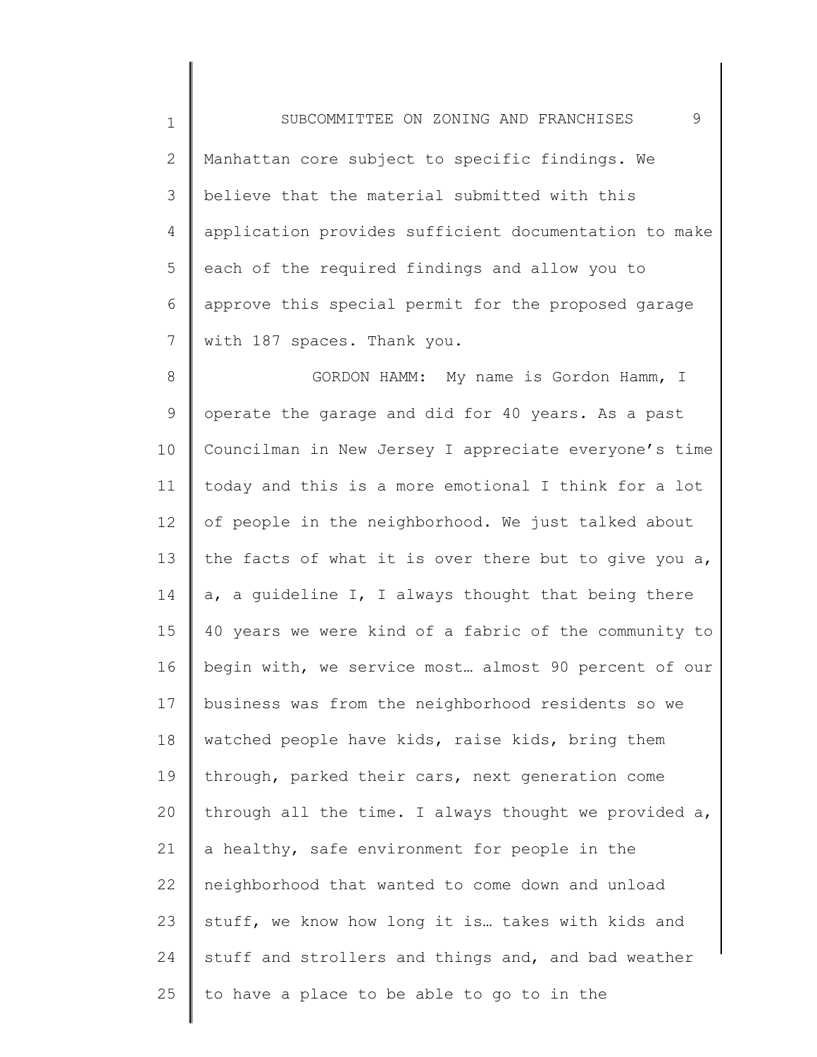1 2 3 4 5 6 7 SUBCOMMITTEE ON ZONING AND FRANCHISES 9 Manhattan core subject to specific findings. We believe that the material submitted with this application provides sufficient documentation to make each of the required findings and allow you to approve this special permit for the proposed garage with 187 spaces. Thank you.

8 9 10 11 12 13 14 15 16 17 18 19 20 21 22 23 24 25 GORDON HAMM: My name is Gordon Hamm, I operate the garage and did for 40 years. As a past Councilman in New Jersey I appreciate everyone's time today and this is a more emotional I think for a lot of people in the neighborhood. We just talked about the facts of what it is over there but to give you a, a, a guideline I, I always thought that being there 40 years we were kind of a fabric of the community to begin with, we service most… almost 90 percent of our business was from the neighborhood residents so we watched people have kids, raise kids, bring them through, parked their cars, next generation come through all the time. I always thought we provided a, a healthy, safe environment for people in the neighborhood that wanted to come down and unload stuff, we know how long it is… takes with kids and stuff and strollers and things and, and bad weather to have a place to be able to go to in the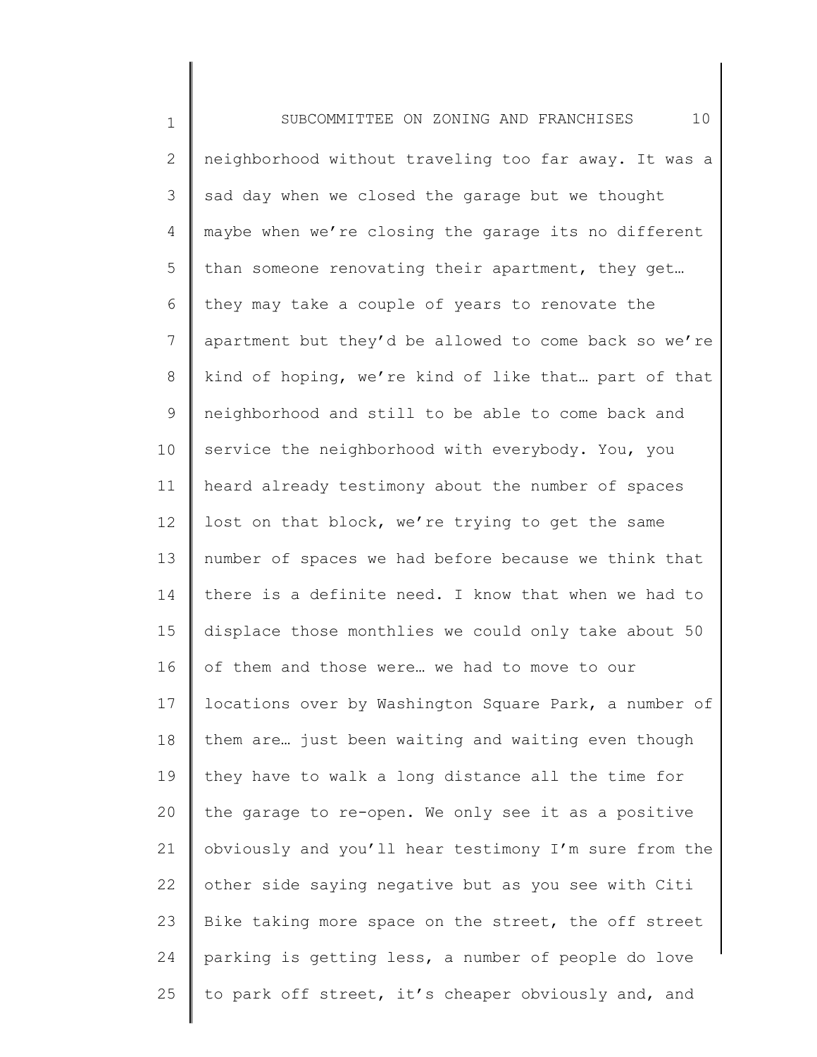1 2 3 4 5 6 7 8 9 10 11 12 13 14 15 16 17 18 19 20 21 22 23 24 25 SUBCOMMITTEE ON ZONING AND FRANCHISES 10 neighborhood without traveling too far away. It was a sad day when we closed the garage but we thought maybe when we're closing the garage its no different than someone renovating their apartment, they get… they may take a couple of years to renovate the apartment but they'd be allowed to come back so we're kind of hoping, we're kind of like that… part of that neighborhood and still to be able to come back and service the neighborhood with everybody. You, you heard already testimony about the number of spaces lost on that block, we're trying to get the same number of spaces we had before because we think that there is a definite need. I know that when we had to displace those monthlies we could only take about 50 of them and those were… we had to move to our locations over by Washington Square Park, a number of them are… just been waiting and waiting even though they have to walk a long distance all the time for the garage to re-open. We only see it as a positive obviously and you'll hear testimony I'm sure from the other side saying negative but as you see with Citi Bike taking more space on the street, the off street parking is getting less, a number of people do love to park off street, it's cheaper obviously and, and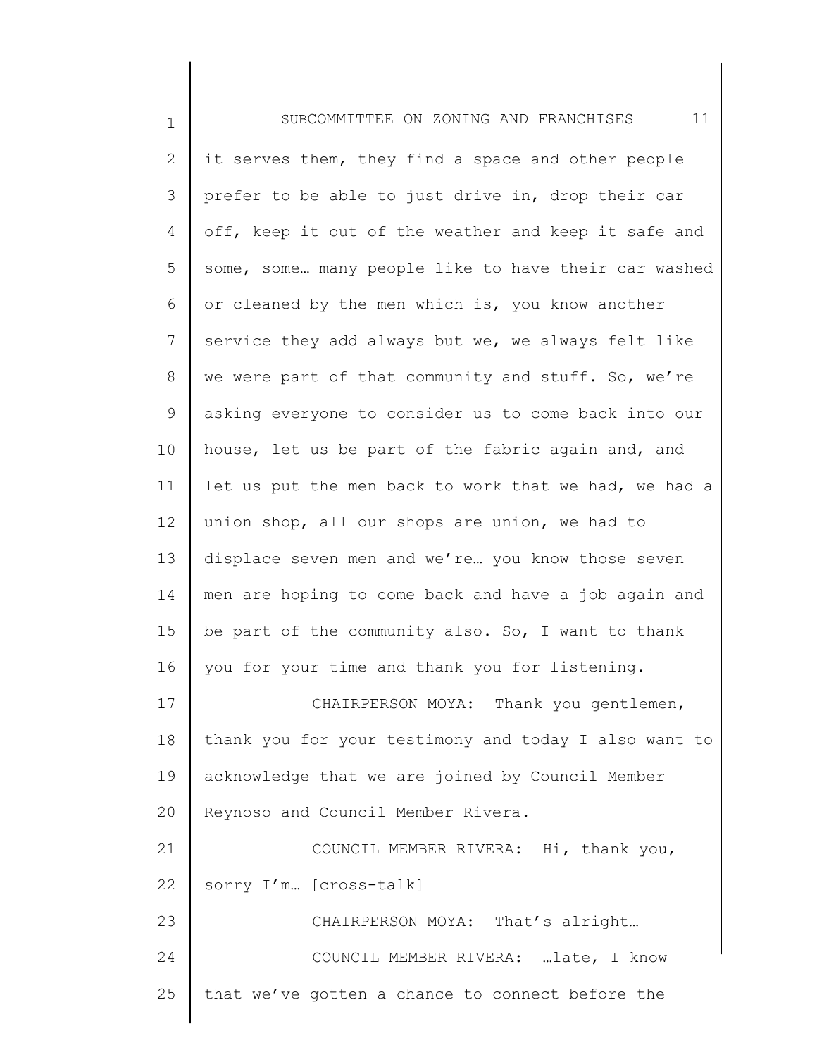| $\mathbf 1$     | 11<br>SUBCOMMITTEE ON ZONING AND FRANCHISES           |
|-----------------|-------------------------------------------------------|
| 2               | it serves them, they find a space and other people    |
| 3               | prefer to be able to just drive in, drop their car    |
| 4               | off, keep it out of the weather and keep it safe and  |
| 5               | some, some many people like to have their car washed  |
| 6               | or cleaned by the men which is, you know another      |
| 7               | service they add always but we, we always felt like   |
| 8               | we were part of that community and stuff. So, we're   |
| 9               | asking everyone to consider us to come back into our  |
| 10              | house, let us be part of the fabric again and, and    |
| 11              | let us put the men back to work that we had, we had a |
| 12 <sup>°</sup> | union shop, all our shops are union, we had to        |
| 13              | displace seven men and we're you know those seven     |
| 14              | men are hoping to come back and have a job again and  |
| 15              | be part of the community also. So, I want to thank    |
| 16              | you for your time and thank you for listening.        |
| 17              | CHAIRPERSON MOYA: Thank you gentlemen,                |
| 18              | thank you for your testimony and today I also want to |
| 19              | acknowledge that we are joined by Council Member      |
| 20              | Reynoso and Council Member Rivera.                    |
| 21              | COUNCIL MEMBER RIVERA: Hi, thank you,                 |
| 22              | sorry I'm [cross-talk]                                |
| 23              | CHAIRPERSON MOYA: That's alright                      |
| 24              | COUNCIL MEMBER RIVERA: late, I know                   |
| 25              | that we've gotten a chance to connect before the      |
|                 |                                                       |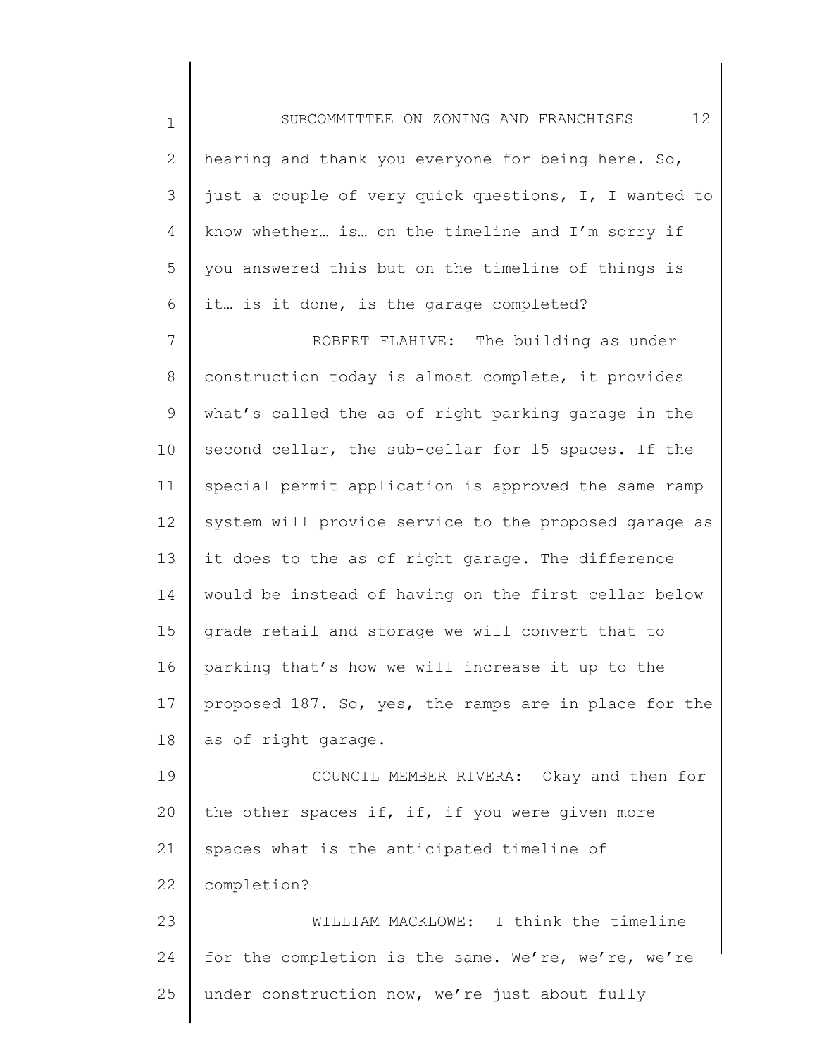1 2 3 4 5 6 7 8 9 10 11 12 13 14 15 16 17 18 19 20 21 22 23 24 SUBCOMMITTEE ON ZONING AND FRANCHISES 12 hearing and thank you everyone for being here. So, just a couple of very quick questions, I, I wanted to know whether… is… on the timeline and I'm sorry if you answered this but on the timeline of things is it… is it done, is the garage completed? ROBERT FLAHIVE: The building as under construction today is almost complete, it provides what's called the as of right parking garage in the second cellar, the sub-cellar for 15 spaces. If the special permit application is approved the same ramp system will provide service to the proposed garage as it does to the as of right garage. The difference would be instead of having on the first cellar below grade retail and storage we will convert that to parking that's how we will increase it up to the proposed 187. So, yes, the ramps are in place for the as of right garage. COUNCIL MEMBER RIVERA: Okay and then for the other spaces if, if, if you were given more spaces what is the anticipated timeline of completion? WILLIAM MACKLOWE: I think the timeline for the completion is the same. We're, we're, we're

under construction now, we're just about fully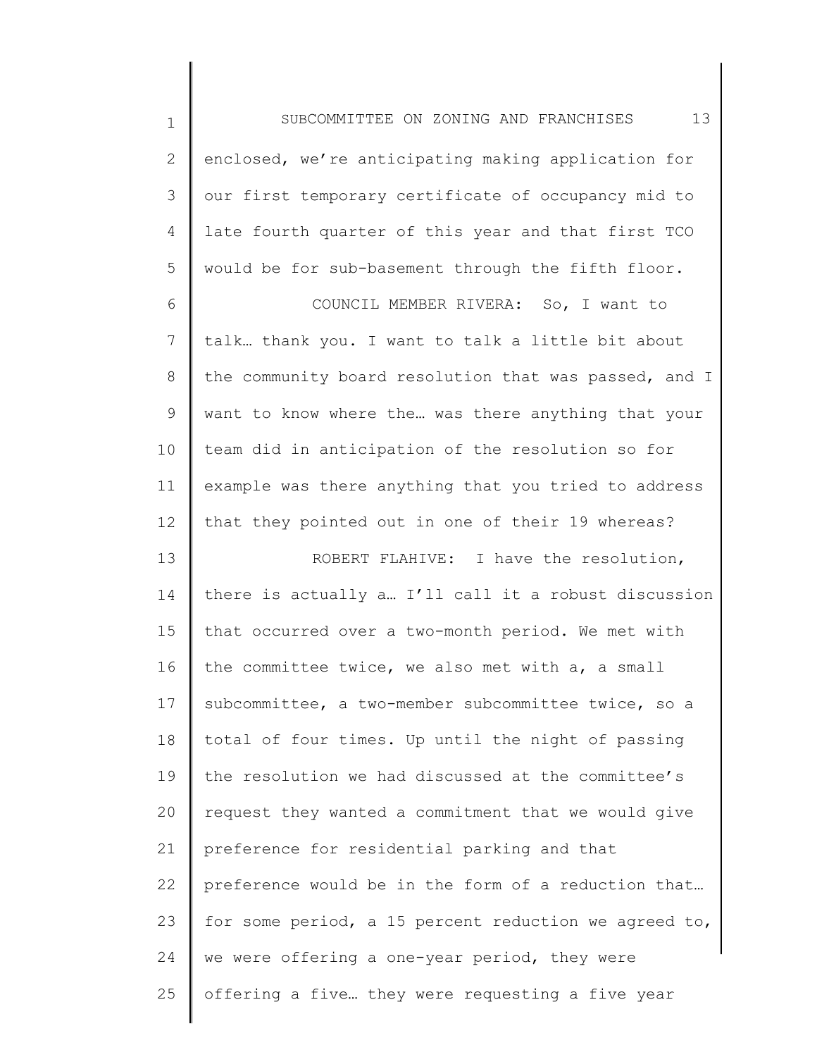| $\mathbf 1$  | 13<br>SUBCOMMITTEE ON ZONING AND FRANCHISES           |
|--------------|-------------------------------------------------------|
| $\mathbf{2}$ | enclosed, we're anticipating making application for   |
| 3            | our first temporary certificate of occupancy mid to   |
| 4            | late fourth quarter of this year and that first TCO   |
| 5            | would be for sub-basement through the fifth floor.    |
| 6            | COUNCIL MEMBER RIVERA: So, I want to                  |
| 7            | talk thank you. I want to talk a little bit about     |
| 8            | the community board resolution that was passed, and I |
| 9            | want to know where the was there anything that your   |
| 10           | team did in anticipation of the resolution so for     |
| 11           | example was there anything that you tried to address  |
| 12           | that they pointed out in one of their 19 whereas?     |
| 13           | ROBERT FLAHIVE: I have the resolution,                |
| 14           | there is actually a I'll call it a robust discussion  |
| 15           | that occurred over a two-month period. We met with    |
| 16           | the committee twice, we also met with a, a small      |
| 17           | subcommittee, a two-member subcommittee twice, so a   |
| 18           | total of four times. Up until the night of passing    |
| 19           | the resolution we had discussed at the committee's    |
| 20           | request they wanted a commitment that we would give   |
| 21           | preference for residential parking and that           |
| 22           | preference would be in the form of a reduction that   |
| 23           | for some period, a 15 percent reduction we agreed to, |
| 24           | we were offering a one-year period, they were         |
| 25           | offering a five they were requesting a five year      |
|              |                                                       |

║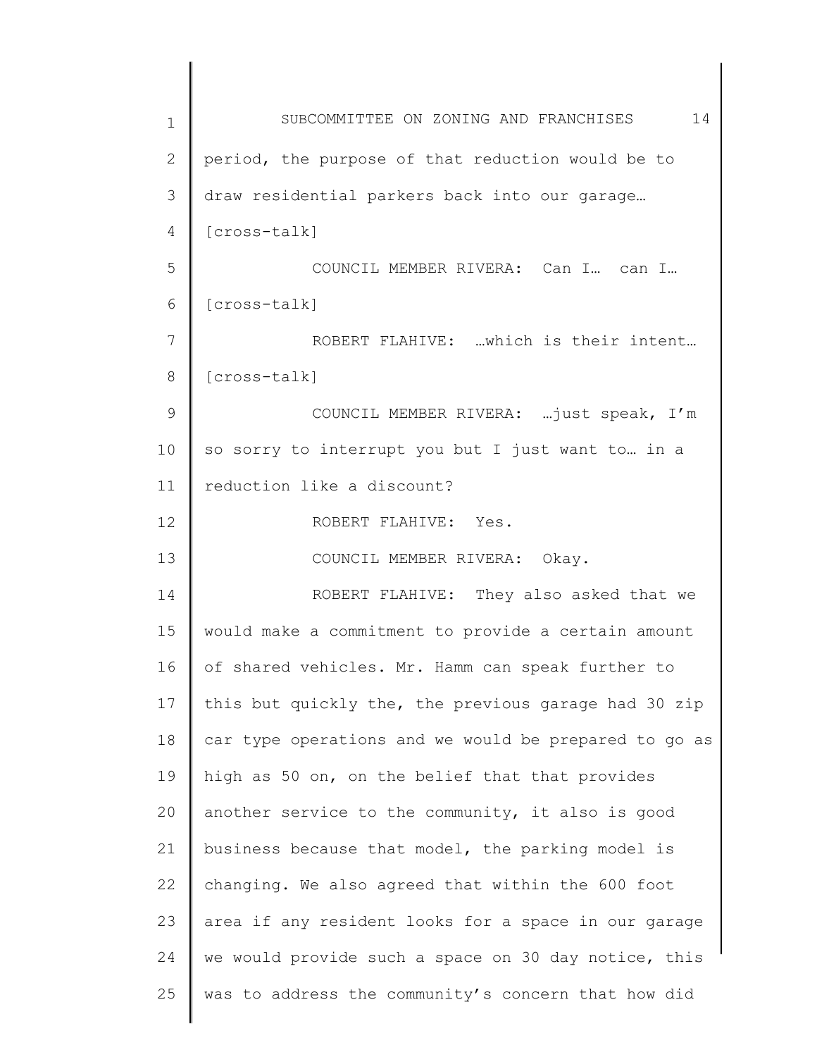| 1  | 14<br>SUBCOMMITTEE ON ZONING AND FRANCHISES           |
|----|-------------------------------------------------------|
| 2  | period, the purpose of that reduction would be to     |
| 3  | draw residential parkers back into our garage         |
| 4  | [cross-talk]                                          |
| 5  | COUNCIL MEMBER RIVERA: Can I can I                    |
| 6  | [cross-talk]                                          |
| 7  | ROBERT FLAHIVE: which is their intent                 |
| 8  | [cross-talk]                                          |
| 9  | COUNCIL MEMBER RIVERA:  just speak, I'm               |
| 10 | so sorry to interrupt you but I just want to in a     |
| 11 | reduction like a discount?                            |
| 12 | ROBERT FLAHIVE: Yes.                                  |
| 13 | COUNCIL MEMBER RIVERA: Okay.                          |
| 14 | ROBERT FLAHIVE: They also asked that we               |
| 15 | would make a commitment to provide a certain amount   |
| 16 | of shared vehicles. Mr. Hamm can speak further to     |
| 17 | this but quickly the, the previous garage had 30 zip  |
| 18 | car type operations and we would be prepared to go as |
| 19 | high as 50 on, on the belief that that provides       |
| 20 | another service to the community, it also is good     |
| 21 | business because that model, the parking model is     |
| 22 | changing. We also agreed that within the 600 foot     |
| 23 | area if any resident looks for a space in our garage  |
| 24 | we would provide such a space on 30 day notice, this  |
| 25 | was to address the community's concern that how did   |
|    |                                                       |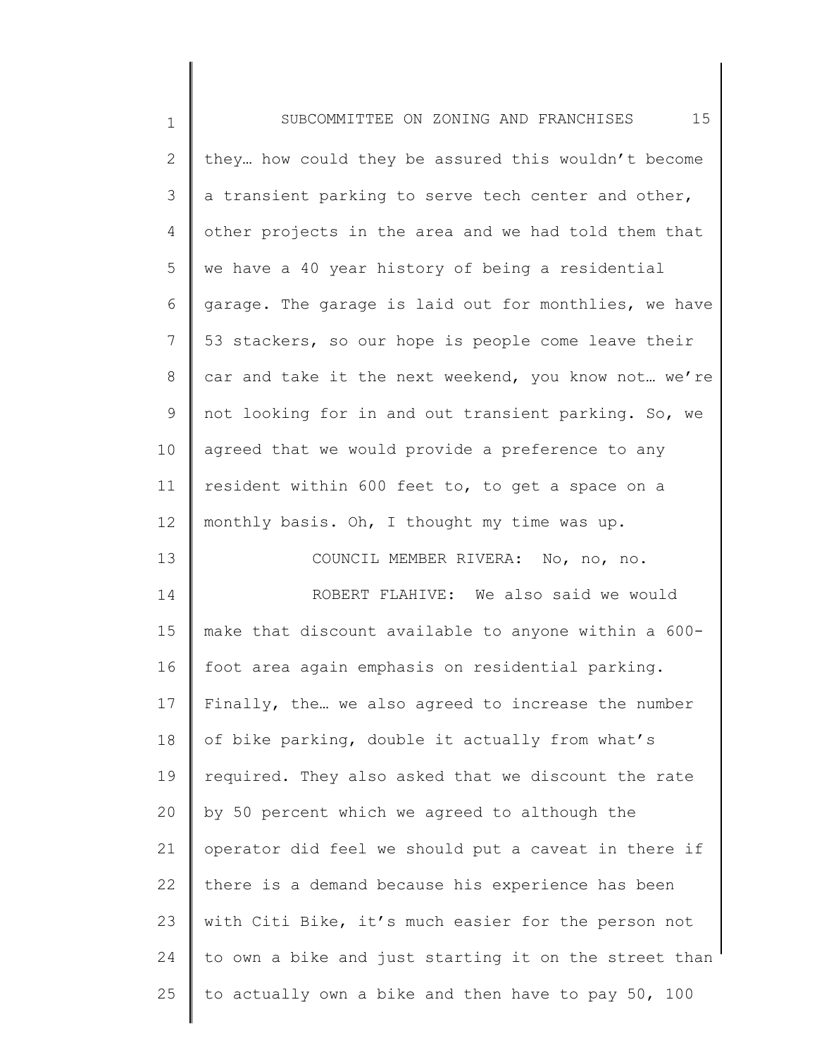| $1\,$           | 15<br>SUBCOMMITTEE ON ZONING AND FRANCHISES           |
|-----------------|-------------------------------------------------------|
| $\mathbf{2}$    | they how could they be assured this wouldn't become   |
| 3               | a transient parking to serve tech center and other,   |
| 4               | other projects in the area and we had told them that  |
| 5               | we have a 40 year history of being a residential      |
| 6               | garage. The garage is laid out for monthlies, we have |
| $\overline{7}$  | 53 stackers, so our hope is people come leave their   |
| 8               | car and take it the next weekend, you know not we're  |
| 9               | not looking for in and out transient parking. So, we  |
| 10              | agreed that we would provide a preference to any      |
| 11              | resident within 600 feet to, to get a space on a      |
| 12 <sup>°</sup> | monthly basis. Oh, I thought my time was up.          |
| 13              | COUNCIL MEMBER RIVERA: No, no, no.                    |
| 14              | ROBERT FLAHIVE: We also said we would                 |
| 15              | make that discount available to anyone within a 600-  |
| 16              | foot area again emphasis on residential parking.      |
| 17              | Finally, the we also agreed to increase the number    |
| 18              | of bike parking, double it actually from what's       |
| 19              | required. They also asked that we discount the rate   |
| 20              | by 50 percent which we agreed to although the         |
| 21              | operator did feel we should put a caveat in there if  |
| 22              | there is a demand because his experience has been     |
| 23              | with Citi Bike, it's much easier for the person not   |
| 24              | to own a bike and just starting it on the street than |
| 25              | to actually own a bike and then have to pay 50, 100   |
|                 |                                                       |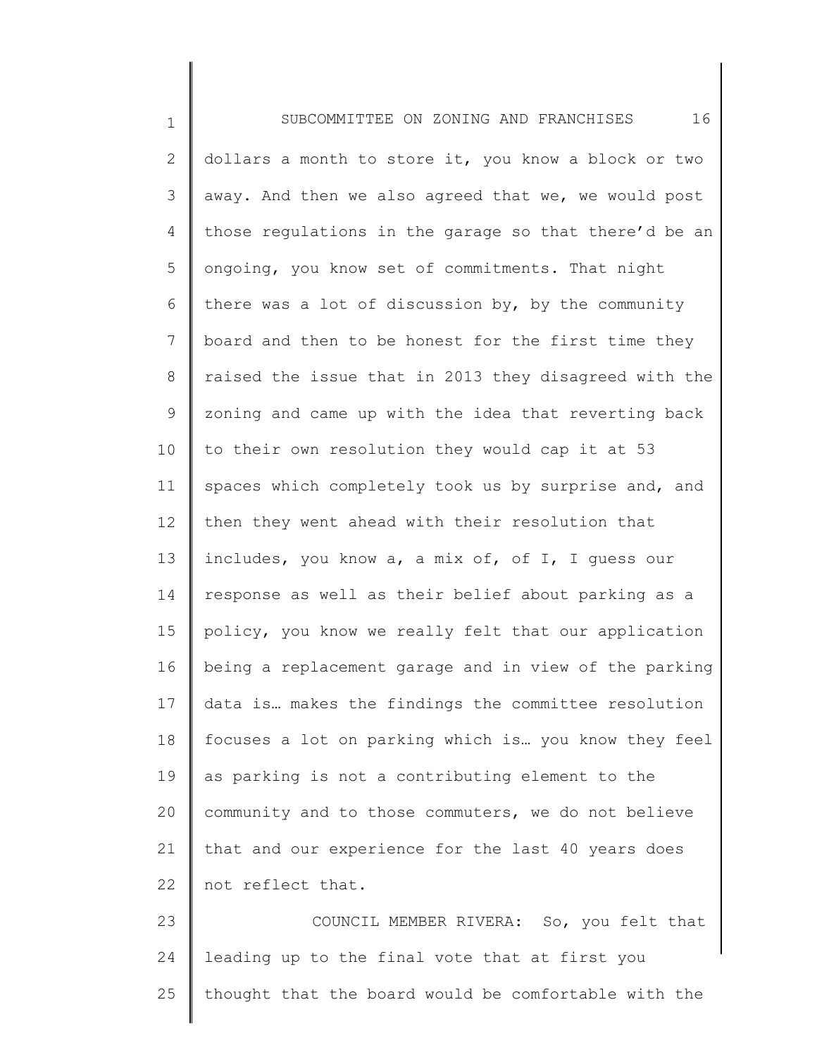1 2 3 4 5 6 7 8 9 10 11 12 13 14 15 16 17 18 19 20 21 22 23 SUBCOMMITTEE ON ZONING AND FRANCHISES 16 dollars a month to store it, you know a block or two away. And then we also agreed that we, we would post those regulations in the garage so that there'd be an ongoing, you know set of commitments. That night there was a lot of discussion by, by the community board and then to be honest for the first time they raised the issue that in 2013 they disagreed with the zoning and came up with the idea that reverting back to their own resolution they would cap it at 53 spaces which completely took us by surprise and, and then they went ahead with their resolution that includes, you know a, a mix of, of I, I guess our response as well as their belief about parking as a policy, you know we really felt that our application being a replacement garage and in view of the parking data is… makes the findings the committee resolution focuses a lot on parking which is… you know they feel as parking is not a contributing element to the community and to those commuters, we do not believe that and our experience for the last 40 years does not reflect that. COUNCIL MEMBER RIVERA: So, you felt that leading up to the final vote that at first you

25 thought that the board would be comfortable with the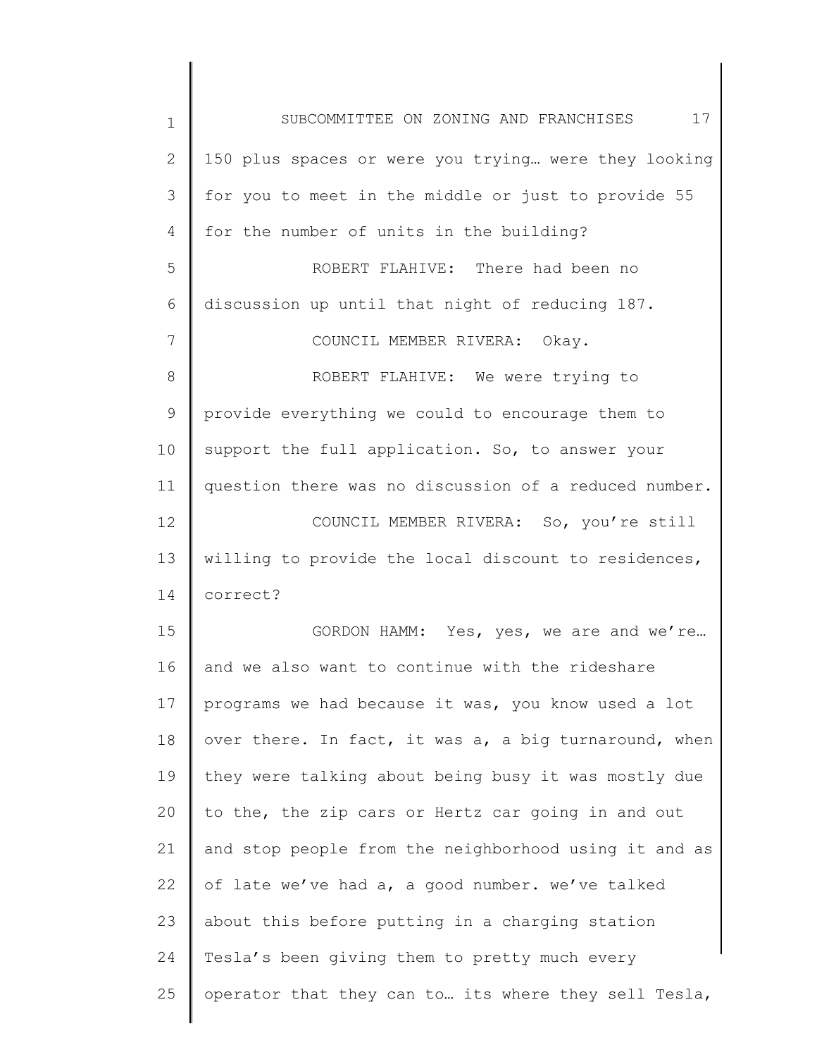| 1            | 17<br>SUBCOMMITTEE ON ZONING AND FRANCHISES           |
|--------------|-------------------------------------------------------|
| $\mathbf{2}$ | 150 plus spaces or were you trying were they looking  |
| 3            | for you to meet in the middle or just to provide 55   |
| 4            | for the number of units in the building?              |
| 5            | ROBERT FLAHIVE: There had been no                     |
| 6            | discussion up until that night of reducing 187.       |
| 7            | COUNCIL MEMBER RIVERA: Okay.                          |
| 8            | ROBERT FLAHIVE: We were trying to                     |
| 9            | provide everything we could to encourage them to      |
| 10           | support the full application. So, to answer your      |
| 11           | question there was no discussion of a reduced number. |
| 12           | COUNCIL MEMBER RIVERA: So, you're still               |
| 13           | willing to provide the local discount to residences,  |
| 14           | correct?                                              |
| 15           | GORDON HAMM: Yes, yes, we are and we're               |
| 16           | and we also want to continue with the rideshare       |
| 17           | programs we had because it was, you know used a lot   |
| 18           | over there. In fact, it was a, a big turnaround, when |
| 19           | they were talking about being busy it was mostly due  |
| 20           | to the, the zip cars or Hertz car going in and out    |
| 21           | and stop people from the neighborhood using it and as |
| 22           | of late we've had a, a good number. we've talked      |
| 23           | about this before putting in a charging station       |
| 24           | Tesla's been giving them to pretty much every         |
| 25           | operator that they can to its where they sell Tesla,  |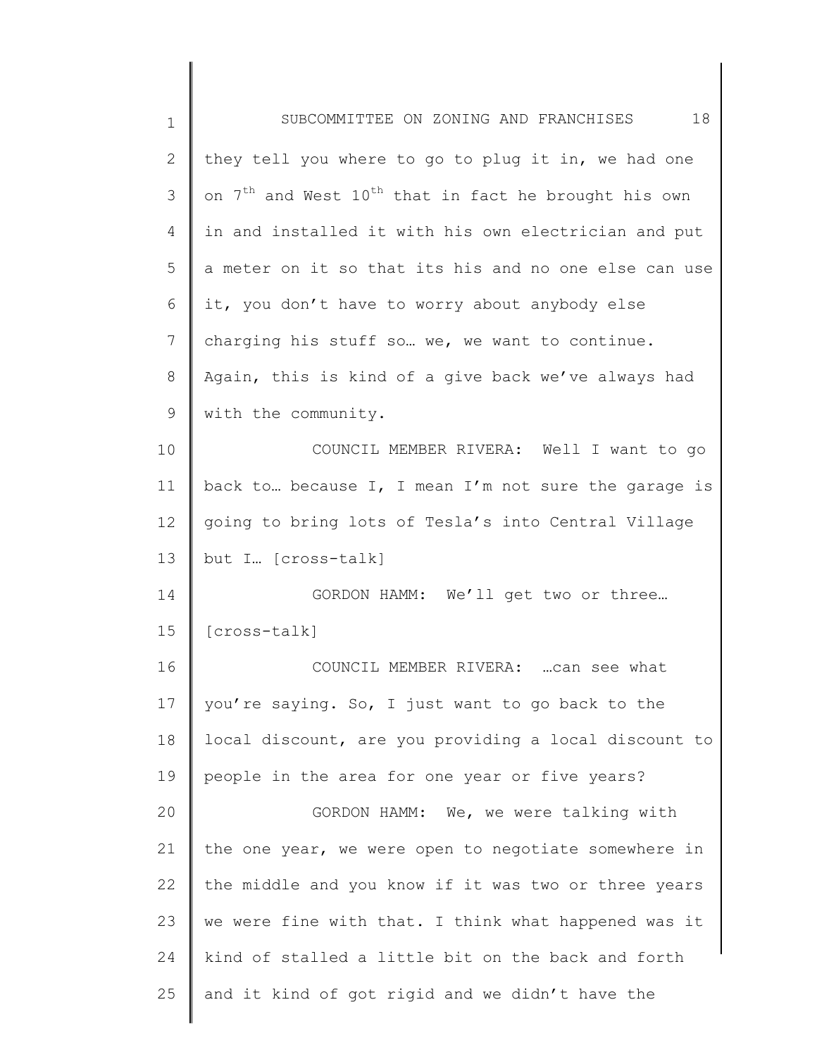| $\mathbf 1$ | 18<br>SUBCOMMITTEE ON ZONING AND FRANCHISES                                  |
|-------------|------------------------------------------------------------------------------|
| 2           | they tell you where to go to plug it in, we had one                          |
| 3           | on 7 <sup>th</sup> and West 10 <sup>th</sup> that in fact he brought his own |
| 4           | in and installed it with his own electrician and put                         |
| 5           | a meter on it so that its his and no one else can use                        |
| 6           | it, you don't have to worry about anybody else                               |
| 7           | charging his stuff so we, we want to continue.                               |
| 8           | Again, this is kind of a give back we've always had                          |
| 9           | with the community.                                                          |
| 10          | COUNCIL MEMBER RIVERA: Well I want to go                                     |
| 11          | back to because I, I mean I'm not sure the garage is                         |
| 12          | going to bring lots of Tesla's into Central Village                          |
| 13          | but I [cross-talk]                                                           |
| 14          | GORDON HAMM: We'll get two or three                                          |
| 15          | [cross-talk]                                                                 |
| 16          | COUNCIL MEMBER RIVERA:  can see what                                         |
| 17          | you're saying. So, I just want to go back to the                             |
| 18          | local discount, are you providing a local discount to                        |
| 19          | people in the area for one year or five years?                               |
| 20          | GORDON HAMM: We, we were talking with                                        |
| 21          | the one year, we were open to negotiate somewhere in                         |
| 22          | the middle and you know if it was two or three years                         |
| 23          | we were fine with that. I think what happened was it                         |
| 24          | kind of stalled a little bit on the back and forth                           |
| 25          | and it kind of got rigid and we didn't have the                              |
|             |                                                                              |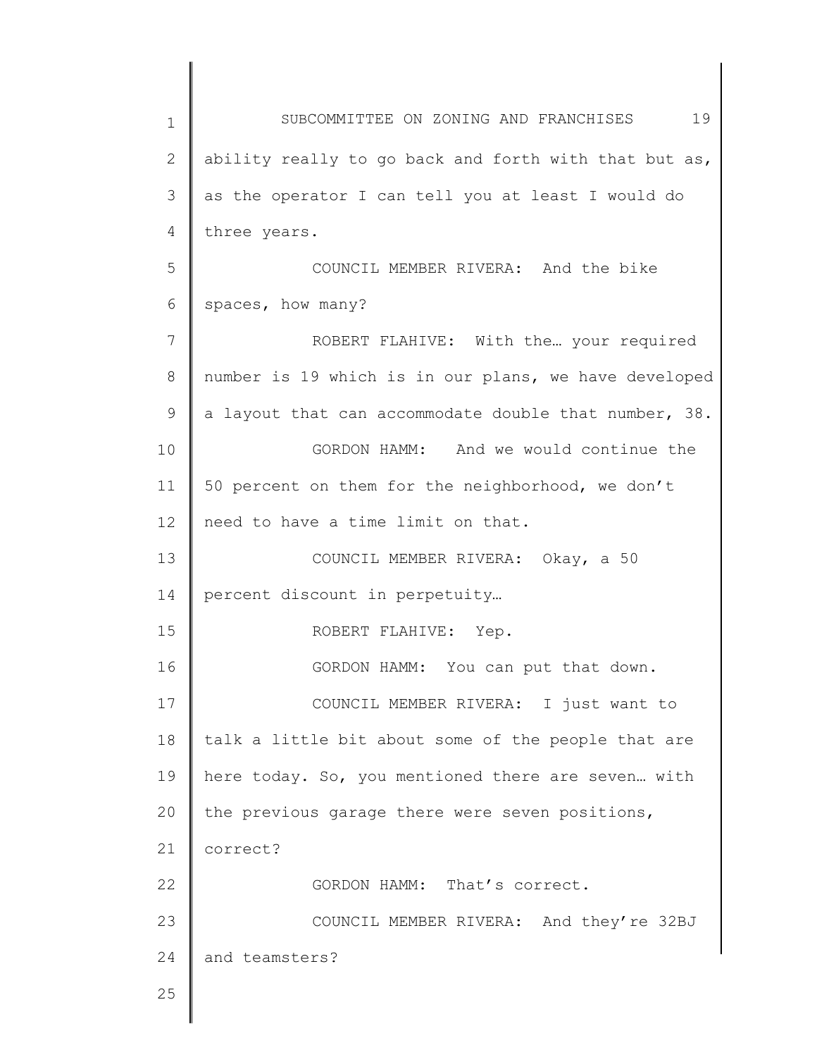1 2 3 4 5 6 7 8 9 10 11 12 13 14 15 16 17 18 19 20 21 22 23 24 25 SUBCOMMITTEE ON ZONING AND FRANCHISES 19 ability really to go back and forth with that but as, as the operator I can tell you at least I would do three years. COUNCIL MEMBER RIVERA: And the bike spaces, how many? ROBERT FLAHIVE: With the… your required number is 19 which is in our plans, we have developed a layout that can accommodate double that number, 38. GORDON HAMM: And we would continue the 50 percent on them for the neighborhood, we don't need to have a time limit on that. COUNCIL MEMBER RIVERA: Okay, a 50 percent discount in perpetuity… ROBERT FLAHIVE: Yep. GORDON HAMM: You can put that down. COUNCIL MEMBER RIVERA: I just want to talk a little bit about some of the people that are here today. So, you mentioned there are seven… with the previous garage there were seven positions, correct? GORDON HAMM: That's correct. COUNCIL MEMBER RIVERA: And they're 32BJ and teamsters?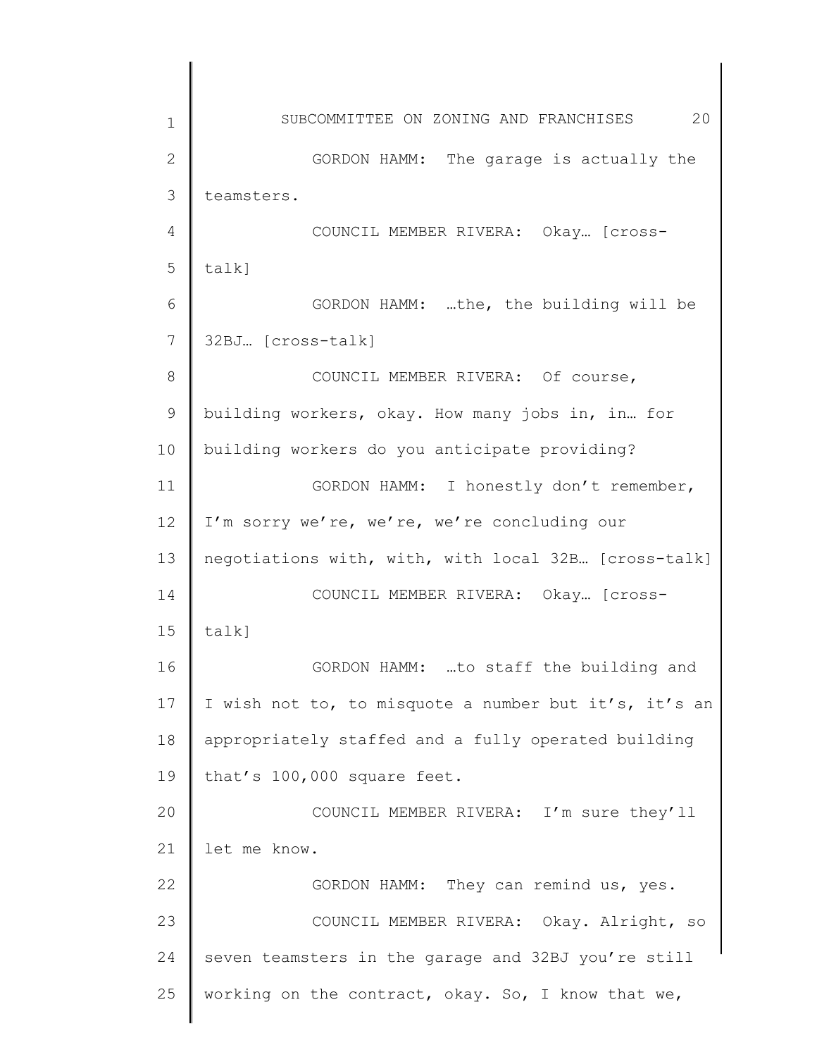1 2 3 4 5 6 7 8 9 10 11 12 13 14 15 16 17 18 19 20 21 22 23 24 25 SUBCOMMITTEE ON ZONING AND FRANCHISES 20 GORDON HAMM: The garage is actually the teamsters. COUNCIL MEMBER RIVERA: Okay… [crosstalk] GORDON HAMM: …the, the building will be 32BJ… [cross-talk] COUNCIL MEMBER RIVERA: Of course, building workers, okay. How many jobs in, in… for building workers do you anticipate providing? GORDON HAMM: I honestly don't remember, I'm sorry we're, we're, we're concluding our negotiations with, with, with local 32B… [cross-talk] COUNCIL MEMBER RIVERA: Okay… [crosstalk] GORDON HAMM: …to staff the building and I wish not to, to misquote a number but it's, it's an appropriately staffed and a fully operated building that's 100,000 square feet. COUNCIL MEMBER RIVERA: I'm sure they'll let me know. GORDON HAMM: They can remind us, yes. COUNCIL MEMBER RIVERA: Okay. Alright, so seven teamsters in the garage and 32BJ you're still working on the contract, okay. So, I know that we,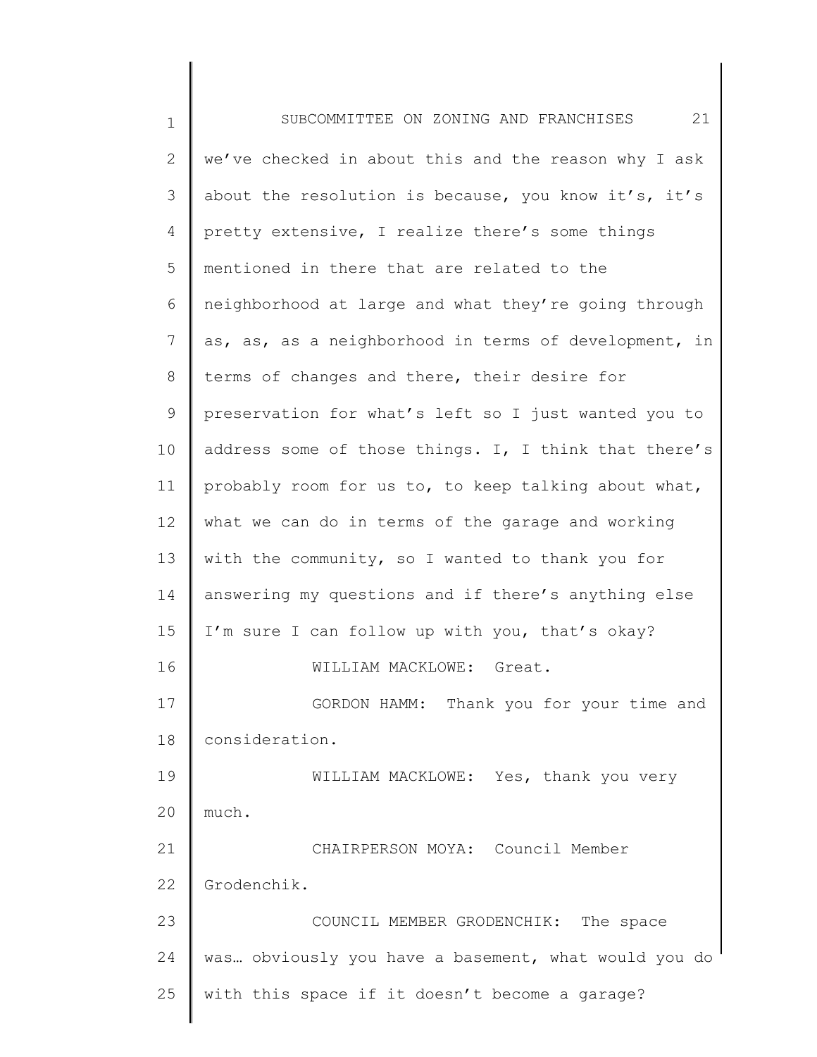1 2 3 4 5 6 7 8 9 10 11 12 13 14 15 16 17 18 19 20 21 22 23 24 25 SUBCOMMITTEE ON ZONING AND FRANCHISES 21 we've checked in about this and the reason why I ask about the resolution is because, you know it's, it's pretty extensive, I realize there's some things mentioned in there that are related to the neighborhood at large and what they're going through as, as, as a neighborhood in terms of development, in terms of changes and there, their desire for preservation for what's left so I just wanted you to address some of those things. I, I think that there's probably room for us to, to keep talking about what, what we can do in terms of the garage and working with the community, so I wanted to thank you for answering my questions and if there's anything else I'm sure I can follow up with you, that's okay? WILLIAM MACKLOWE: Great. GORDON HAMM: Thank you for your time and consideration. WILLIAM MACKLOWE: Yes, thank you very much. CHAIRPERSON MOYA: Council Member Grodenchik. COUNCIL MEMBER GRODENCHIK: The space was… obviously you have a basement, what would you do with this space if it doesn't become a garage?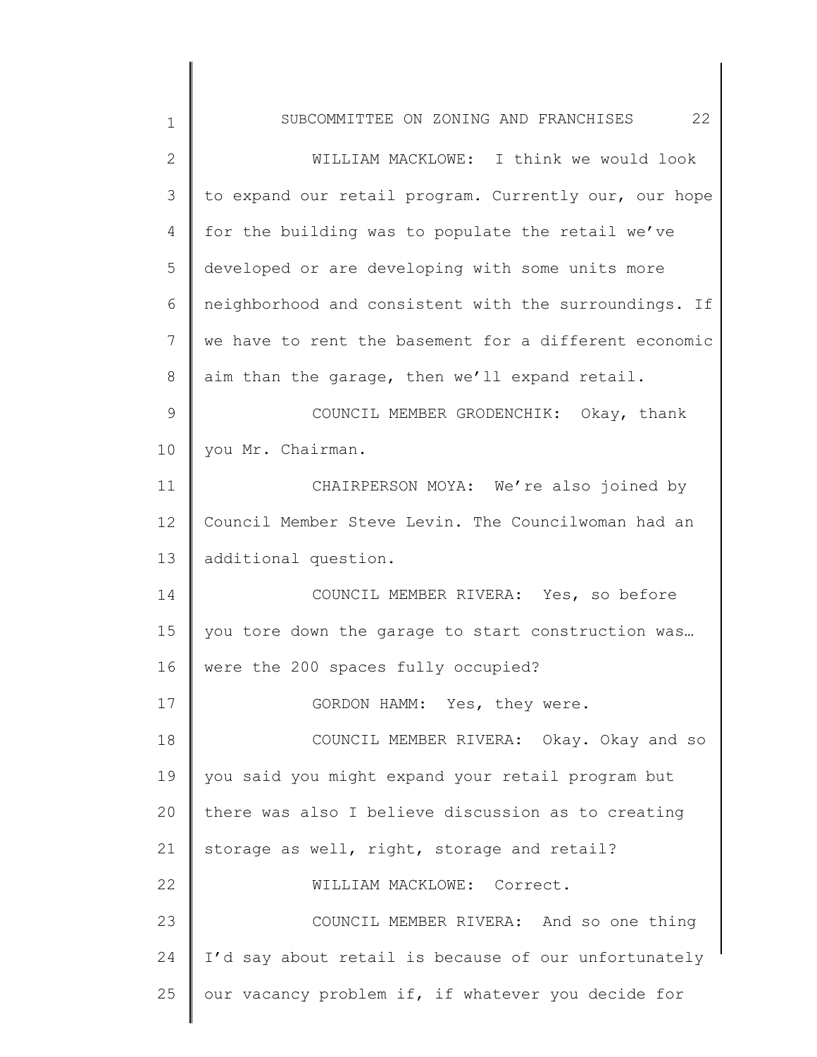| 1            | 22<br>SUBCOMMITTEE ON ZONING AND FRANCHISES           |
|--------------|-------------------------------------------------------|
| $\mathbf{2}$ | WILLIAM MACKLOWE: I think we would look               |
| 3            | to expand our retail program. Currently our, our hope |
| 4            | for the building was to populate the retail we've     |
| 5            | developed or are developing with some units more      |
| 6            | neighborhood and consistent with the surroundings. If |
| 7            | we have to rent the basement for a different economic |
| 8            | aim than the garage, then we'll expand retail.        |
| 9            | COUNCIL MEMBER GRODENCHIK: Okay, thank                |
| 10           | you Mr. Chairman.                                     |
| 11           | CHAIRPERSON MOYA: We're also joined by                |
| 12           | Council Member Steve Levin. The Councilwoman had an   |
| 13           | additional question.                                  |
| 14           | COUNCIL MEMBER RIVERA: Yes, so before                 |
| 15           | you tore down the garage to start construction was    |
| 16           | were the 200 spaces fully occupied?                   |
| 17           | GORDON HAMM: Yes, they were.                          |
| 18           | COUNCIL MEMBER RIVERA: Okay. Okay and so              |
| 19           | you said you might expand your retail program but     |
| 20           | there was also I believe discussion as to creating    |
| 21           | storage as well, right, storage and retail?           |
| 22           | WILLIAM MACKLOWE: Correct.                            |
| 23           | COUNCIL MEMBER RIVERA: And so one thing               |
| 24           | I'd say about retail is because of our unfortunately  |
| 25           | our vacancy problem if, if whatever you decide for    |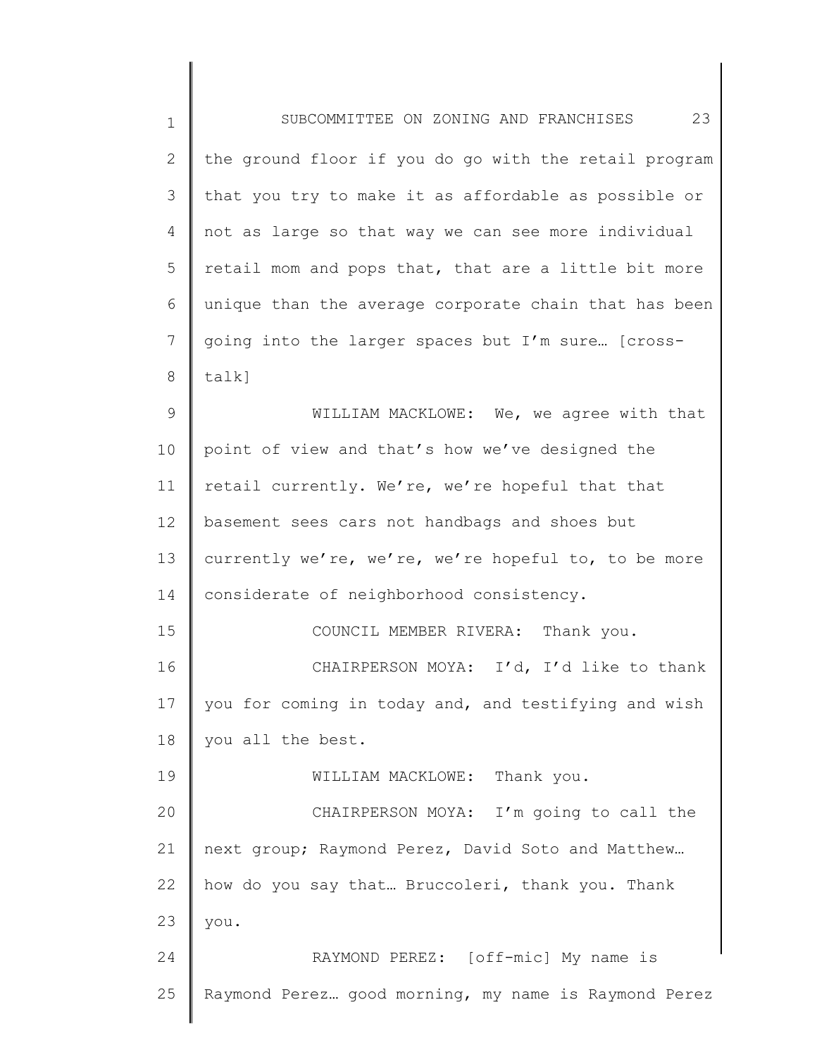| $\mathbf 1$ | 23<br>SUBCOMMITTEE ON ZONING AND FRANCHISES           |
|-------------|-------------------------------------------------------|
| 2           | the ground floor if you do go with the retail program |
| 3           | that you try to make it as affordable as possible or  |
| 4           | not as large so that way we can see more individual   |
| 5           | retail mom and pops that, that are a little bit more  |
| 6           | unique than the average corporate chain that has been |
| 7           | going into the larger spaces but I'm sure [cross-     |
| 8           | talk]                                                 |
| 9           | WILLIAM MACKLOWE: We, we agree with that              |
| 10          | point of view and that's how we've designed the       |
| 11          | retail currently. We're, we're hopeful that that      |
| 12          | basement sees cars not handbags and shoes but         |
| 13          | currently we're, we're, we're hopeful to, to be more  |
| 14          | considerate of neighborhood consistency.              |
| 15          | COUNCIL MEMBER RIVERA: Thank you.                     |
| 16          | CHAIRPERSON MOYA: I'd, I'd like to thank              |
| 17          | you for coming in today and, and testifying and wish  |
| 18          | you all the best.                                     |
| 19          | WILLIAM MACKLOWE: Thank you.                          |
| 20          | CHAIRPERSON MOYA: I'm going to call the               |
| 21          | next group; Raymond Perez, David Soto and Matthew     |
| 22          | how do you say that Bruccoleri, thank you. Thank      |
| 23          | you.                                                  |
| 24          | RAYMOND PEREZ: [off-mic] My name is                   |
| 25          | Raymond Perez good morning, my name is Raymond Perez  |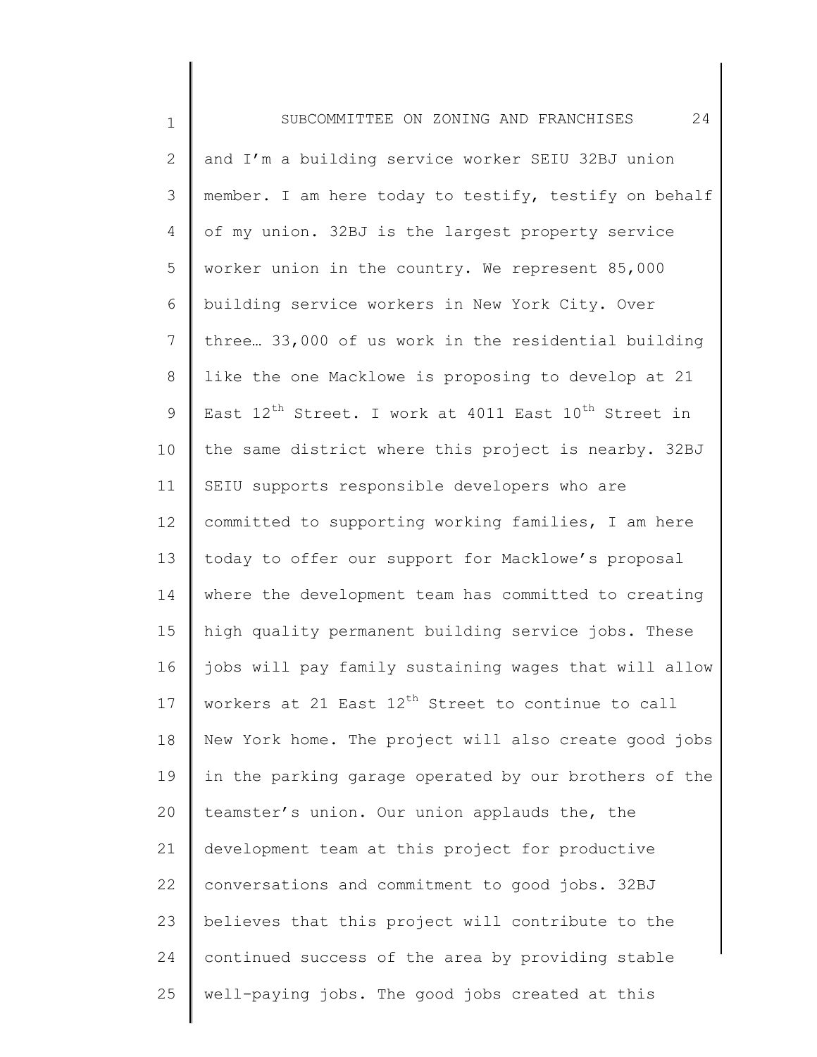1 2 3 4 5 6 7 8 9 10 11 12 13 14 15 16 17 18 19 20 21 22 23 24 25 SUBCOMMITTEE ON ZONING AND FRANCHISES 24 and I'm a building service worker SEIU 32BJ union member. I am here today to testify, testify on behalf of my union. 32BJ is the largest property service worker union in the country. We represent 85,000 building service workers in New York City. Over three… 33,000 of us work in the residential building like the one Macklowe is proposing to develop at 21 East  $12^{th}$  Street. I work at 4011 East  $10^{th}$  Street in the same district where this project is nearby. 32BJ SEIU supports responsible developers who are committed to supporting working families, I am here today to offer our support for Macklowe's proposal where the development team has committed to creating high quality permanent building service jobs. These jobs will pay family sustaining wages that will allow workers at 21 East 12<sup>th</sup> Street to continue to call New York home. The project will also create good jobs in the parking garage operated by our brothers of the teamster's union. Our union applauds the, the development team at this project for productive conversations and commitment to good jobs. 32BJ believes that this project will contribute to the continued success of the area by providing stable well-paying jobs. The good jobs created at this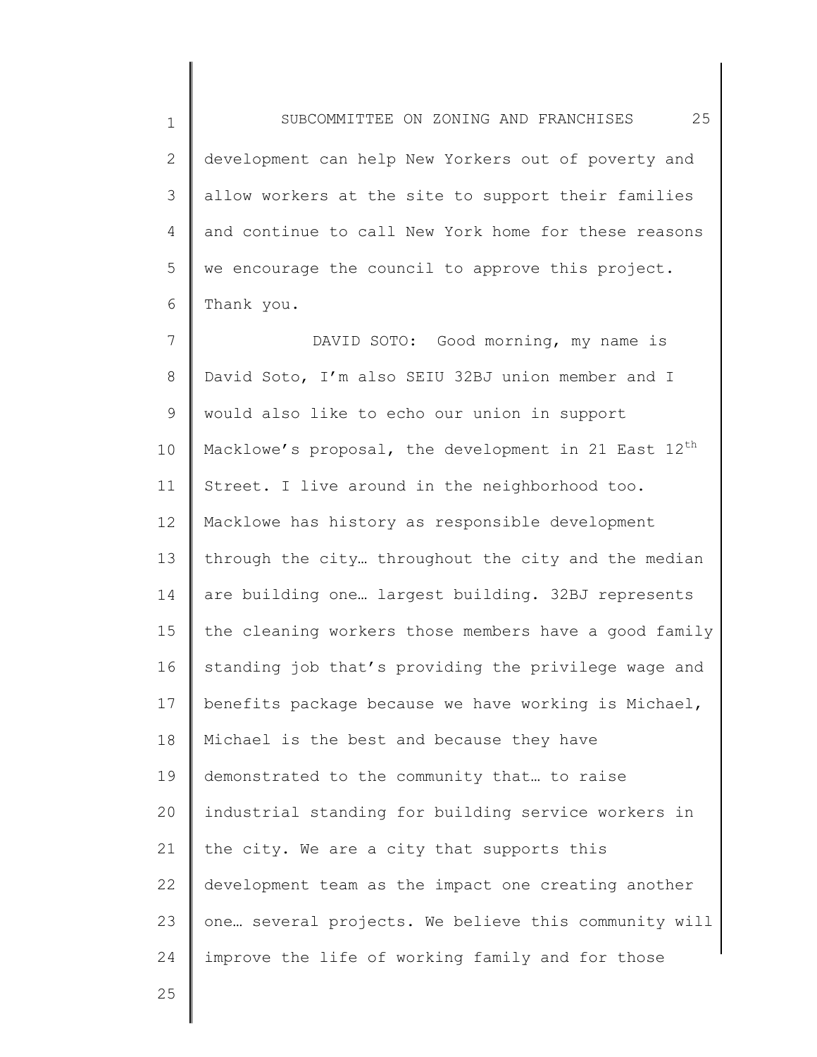1 2 3 4 5 6 SUBCOMMITTEE ON ZONING AND FRANCHISES 25 development can help New Yorkers out of poverty and allow workers at the site to support their families and continue to call New York home for these reasons we encourage the council to approve this project. Thank you.

7 8 9 10 11 12 13 14 15 16 17 18 19 20 21 22 23 24 DAVID SOTO: Good morning, my name is David Soto, I'm also SEIU 32BJ union member and I would also like to echo our union in support Macklowe's proposal, the development in 21 East  $12^{th}$ Street. I live around in the neighborhood too. Macklowe has history as responsible development through the city… throughout the city and the median are building one… largest building. 32BJ represents the cleaning workers those members have a good family standing job that's providing the privilege wage and benefits package because we have working is Michael, Michael is the best and because they have demonstrated to the community that… to raise industrial standing for building service workers in the city. We are a city that supports this development team as the impact one creating another one… several projects. We believe this community will improve the life of working family and for those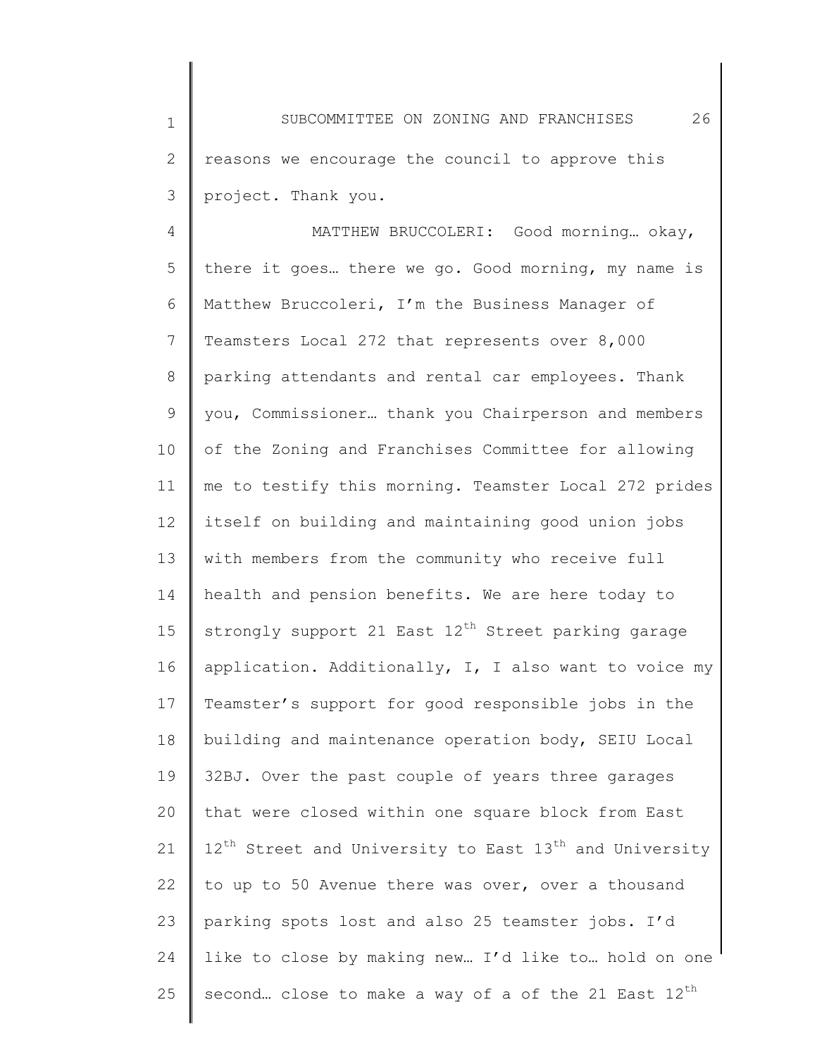1 2 3 SUBCOMMITTEE ON ZONING AND FRANCHISES 26 reasons we encourage the council to approve this project. Thank you.

4 5 6 7 8 9 10 11 12 13 14 15 16 17 18 19 20 21 22 23 24 25 MATTHEW BRUCCOLERI: Good morning… okay, there it goes… there we go. Good morning, my name is Matthew Bruccoleri, I'm the Business Manager of Teamsters Local 272 that represents over 8,000 parking attendants and rental car employees. Thank you, Commissioner… thank you Chairperson and members of the Zoning and Franchises Committee for allowing me to testify this morning. Teamster Local 272 prides itself on building and maintaining good union jobs with members from the community who receive full health and pension benefits. We are here today to strongly support 21 East  $12<sup>th</sup>$  Street parking garage application. Additionally, I, I also want to voice my Teamster's support for good responsible jobs in the building and maintenance operation body, SEIU Local 32BJ. Over the past couple of years three garages that were closed within one square block from East  $12^{th}$  Street and University to East  $13^{th}$  and University to up to 50 Avenue there was over, over a thousand parking spots lost and also 25 teamster jobs. I'd like to close by making new… I'd like to… hold on one second... close to make a way of a of the 21 East 12<sup>th</sup>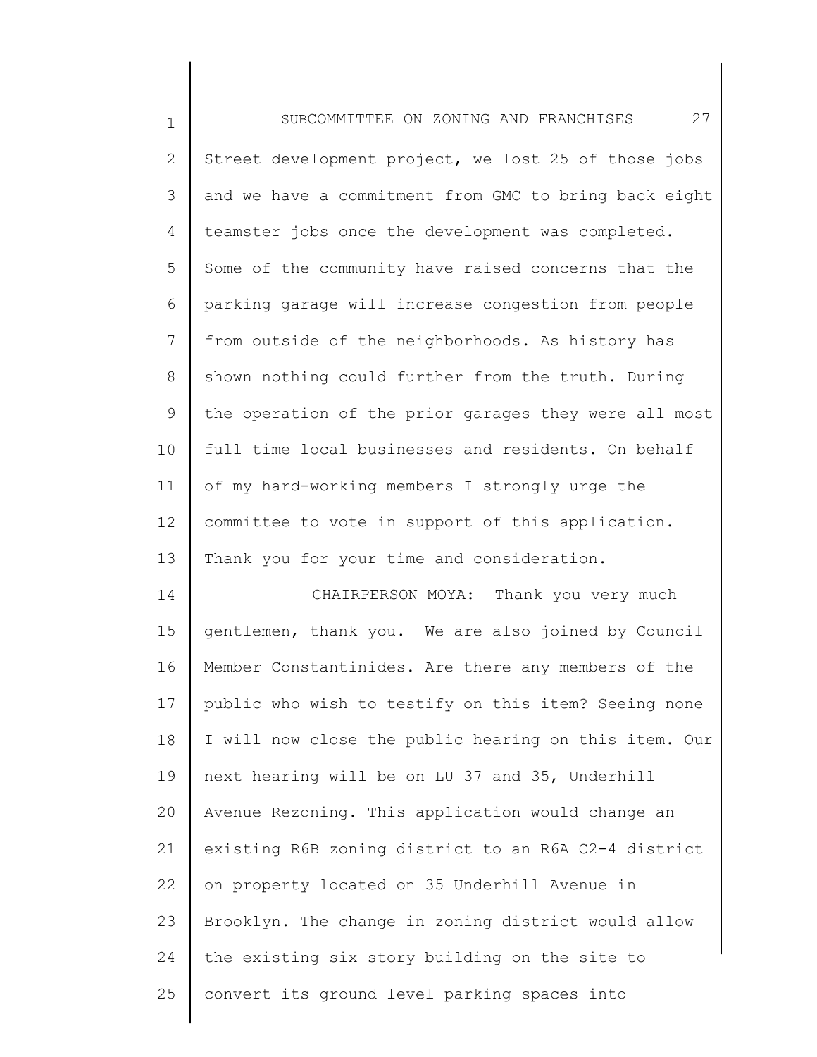| $1\,$          | 27<br>SUBCOMMITTEE ON ZONING AND FRANCHISES           |
|----------------|-------------------------------------------------------|
| $\mathbf{2}$   | Street development project, we lost 25 of those jobs  |
| 3              | and we have a commitment from GMC to bring back eight |
| 4              | teamster jobs once the development was completed.     |
| 5              | Some of the community have raised concerns that the   |
| 6              | parking garage will increase congestion from people   |
| $\overline{7}$ | from outside of the neighborhoods. As history has     |
| 8              | shown nothing could further from the truth. During    |
| 9              | the operation of the prior garages they were all most |
| 10             | full time local businesses and residents. On behalf   |
| 11             | of my hard-working members I strongly urge the        |
| 12             | committee to vote in support of this application.     |
| 13             | Thank you for your time and consideration.            |
| 14             | CHAIRPERSON MOYA: Thank you very much                 |
| 15             | gentlemen, thank you. We are also joined by Council   |
| 16             | Member Constantinides. Are there any members of the   |
| 17             | public who wish to testify on this item? Seeing none  |
| 18             | I will now close the public hearing on this item. Our |
| 19             | next hearing will be on LU 37 and 35, Underhill       |
| 20             | Avenue Rezoning. This application would change an     |
| 21             | existing R6B zoning district to an R6A C2-4 district  |
| 22             | on property located on 35 Underhill Avenue in         |
| 23             | Brooklyn. The change in zoning district would allow   |
| 24             | the existing six story building on the site to        |
| 25             | convert its ground level parking spaces into          |
|                |                                                       |

║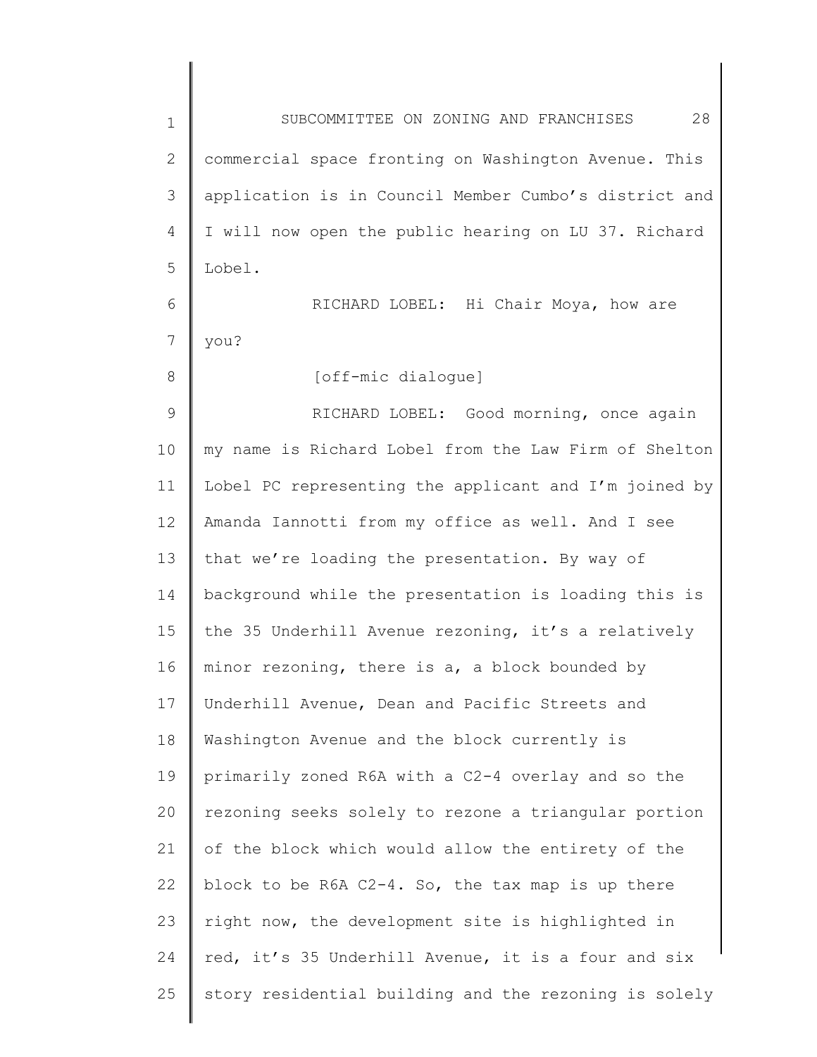| $\mathbf 1$  | 28<br>SUBCOMMITTEE ON ZONING AND FRANCHISES           |
|--------------|-------------------------------------------------------|
| $\mathbf{2}$ | commercial space fronting on Washington Avenue. This  |
| 3            | application is in Council Member Cumbo's district and |
| 4            | I will now open the public hearing on LU 37. Richard  |
| 5            | Lobel.                                                |
| 6            | RICHARD LOBEL: Hi Chair Moya, how are                 |
| 7            | you?                                                  |
| 8            | [off-mic dialoque]                                    |
| 9            | RICHARD LOBEL: Good morning, once again               |
| 10           | my name is Richard Lobel from the Law Firm of Shelton |
| 11           | Lobel PC representing the applicant and I'm joined by |
| 12           | Amanda Iannotti from my office as well. And I see     |
| 13           | that we're loading the presentation. By way of        |
| 14           | background while the presentation is loading this is  |
| 15           | the 35 Underhill Avenue rezoning, it's a relatively   |
| 16           | minor rezoning, there is a, a block bounded by        |
| 17           | Underhill Avenue, Dean and Pacific Streets and        |
| 18           | Washington Avenue and the block currently is          |
| 19           | primarily zoned R6A with a C2-4 overlay and so the    |
| 20           | rezoning seeks solely to rezone a triangular portion  |
| 21           | of the block which would allow the entirety of the    |
| 22           | block to be R6A C2-4. So, the tax map is up there     |
| 23           | right now, the development site is highlighted in     |
| 24           | red, it's 35 Underhill Avenue, it is a four and six   |
| 25           | story residential building and the rezoning is solely |
|              |                                                       |

 $\begin{array}{c} \hline \end{array}$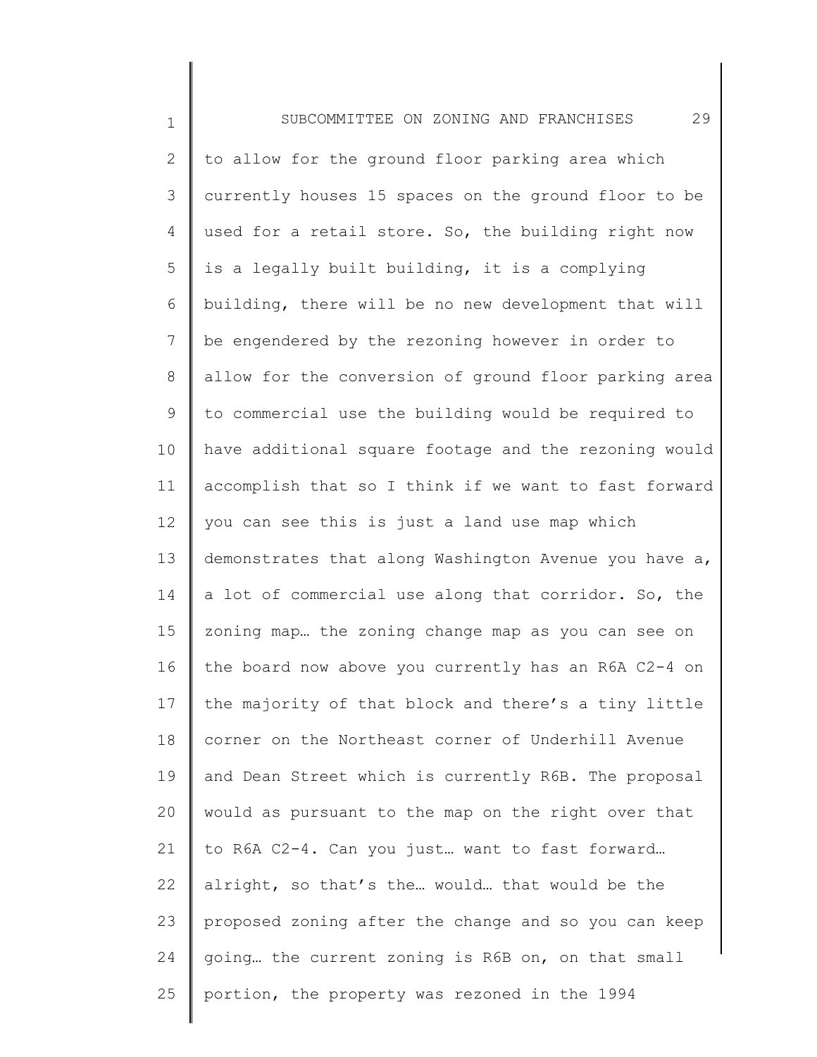1 2 3 4 5 6 7 8 9 10 11 12 13 14 15 16 17 18 19 20 21 22 23 24 25 SUBCOMMITTEE ON ZONING AND FRANCHISES 29 to allow for the ground floor parking area which currently houses 15 spaces on the ground floor to be used for a retail store. So, the building right now is a legally built building, it is a complying building, there will be no new development that will be engendered by the rezoning however in order to allow for the conversion of ground floor parking area to commercial use the building would be required to have additional square footage and the rezoning would accomplish that so I think if we want to fast forward you can see this is just a land use map which demonstrates that along Washington Avenue you have a, a lot of commercial use along that corridor. So, the zoning map… the zoning change map as you can see on the board now above you currently has an R6A C2-4 on the majority of that block and there's a tiny little corner on the Northeast corner of Underhill Avenue and Dean Street which is currently R6B. The proposal would as pursuant to the map on the right over that to R6A C2-4. Can you just… want to fast forward… alright, so that's the… would… that would be the proposed zoning after the change and so you can keep going… the current zoning is R6B on, on that small portion, the property was rezoned in the 1994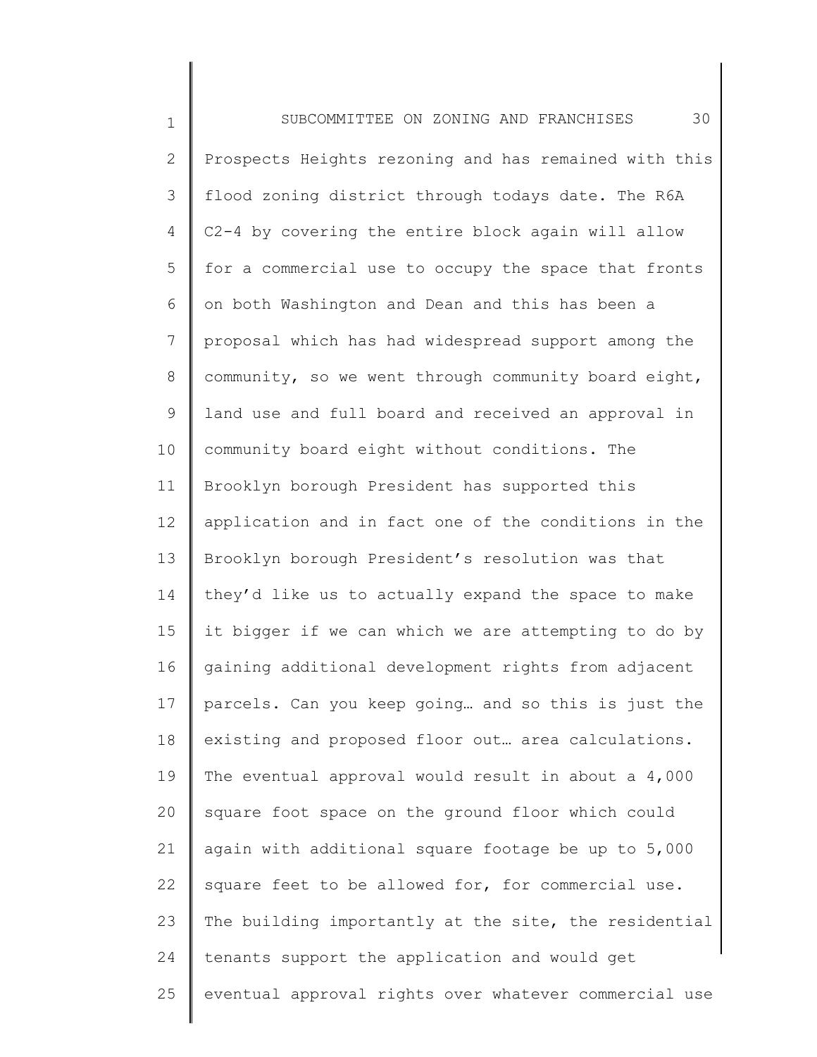1 2 3 4 5 6 7 8 9 10 11 12 13 14 15 16 17 18 19 20 21 22 23 24 25 SUBCOMMITTEE ON ZONING AND FRANCHISES 30 Prospects Heights rezoning and has remained with this flood zoning district through todays date. The R6A C2-4 by covering the entire block again will allow for a commercial use to occupy the space that fronts on both Washington and Dean and this has been a proposal which has had widespread support among the community, so we went through community board eight, land use and full board and received an approval in community board eight without conditions. The Brooklyn borough President has supported this application and in fact one of the conditions in the Brooklyn borough President's resolution was that they'd like us to actually expand the space to make it bigger if we can which we are attempting to do by gaining additional development rights from adjacent parcels. Can you keep going… and so this is just the existing and proposed floor out… area calculations. The eventual approval would result in about a 4,000 square foot space on the ground floor which could again with additional square footage be up to 5,000 square feet to be allowed for, for commercial use. The building importantly at the site, the residential tenants support the application and would get eventual approval rights over whatever commercial use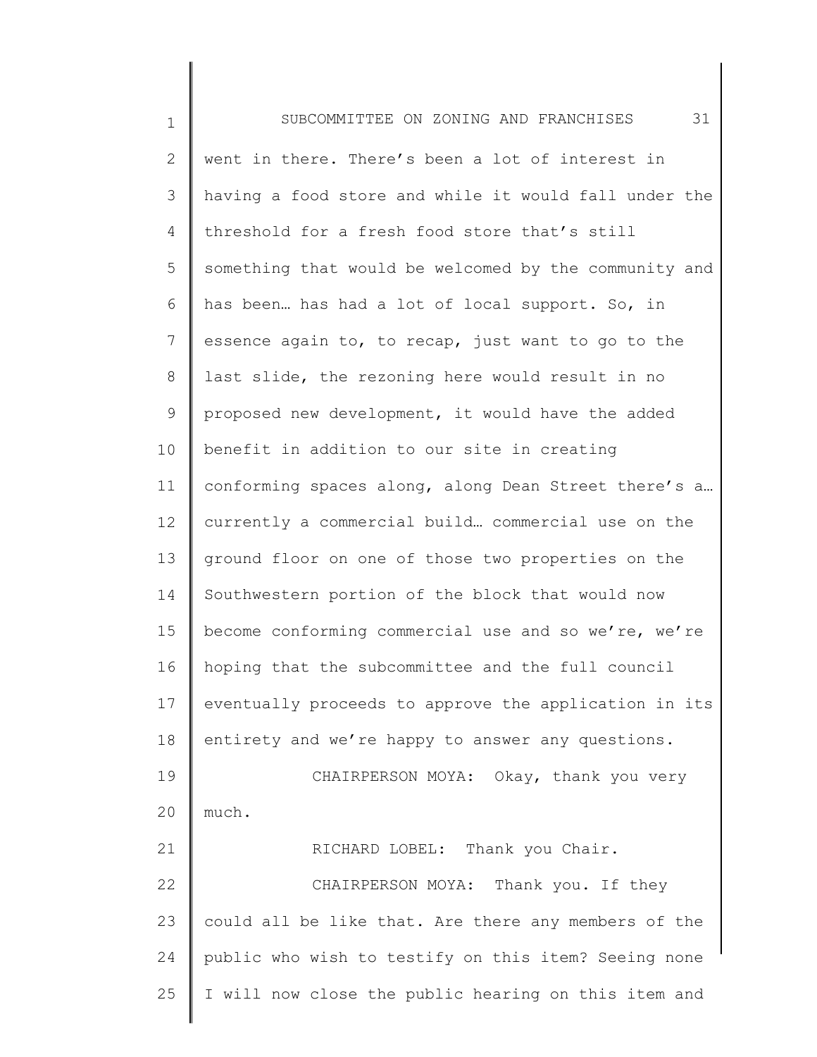1 2 3 4 5 6 7 8 9 10 11 12 13 14 15 16 17 18 19 20 21 22 23 24 25 SUBCOMMITTEE ON ZONING AND FRANCHISES 31 went in there. There's been a lot of interest in having a food store and while it would fall under the threshold for a fresh food store that's still something that would be welcomed by the community and has been… has had a lot of local support. So, in essence again to, to recap, just want to go to the last slide, the rezoning here would result in no proposed new development, it would have the added benefit in addition to our site in creating conforming spaces along, along Dean Street there's a… currently a commercial build… commercial use on the ground floor on one of those two properties on the Southwestern portion of the block that would now become conforming commercial use and so we're, we're hoping that the subcommittee and the full council eventually proceeds to approve the application in its entirety and we're happy to answer any questions. CHAIRPERSON MOYA: Okay, thank you very much. RICHARD LOBEL: Thank you Chair. CHAIRPERSON MOYA: Thank you. If they could all be like that. Are there any members of the public who wish to testify on this item? Seeing none I will now close the public hearing on this item and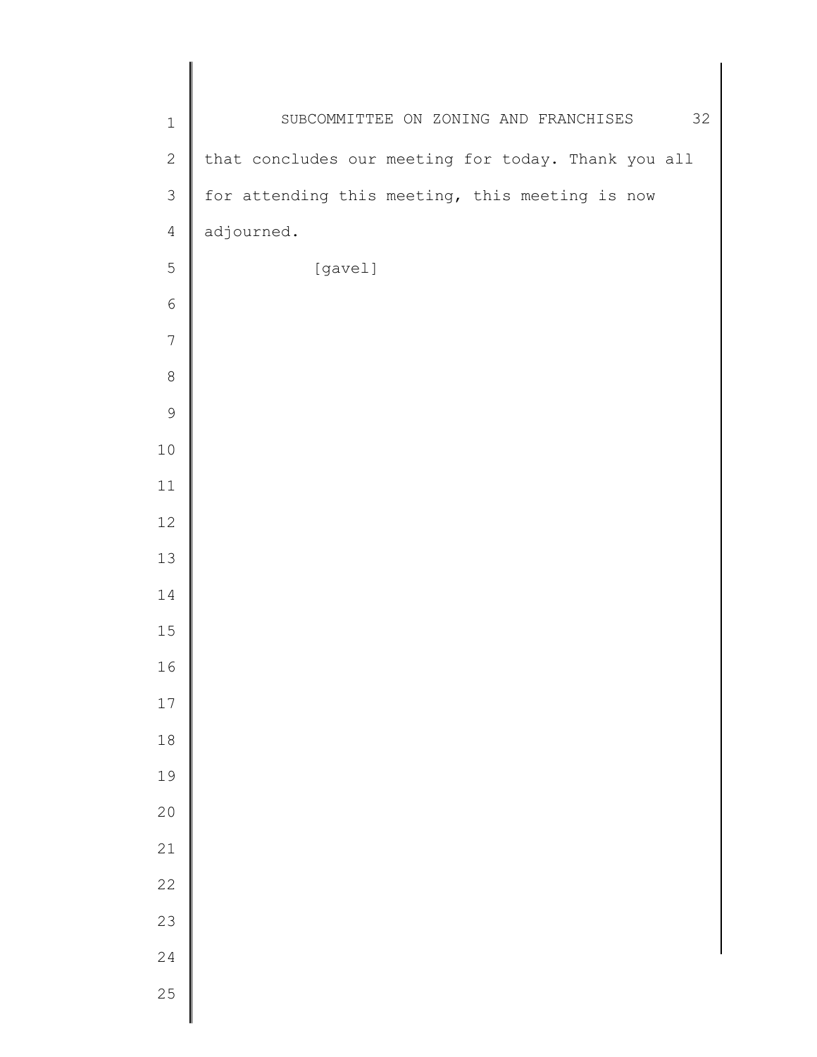| $\mathbf 1$    | SUBCOMMITTEE ON ZONING AND FRANCHISES<br>32         |
|----------------|-----------------------------------------------------|
| $\sqrt{2}$     | that concludes our meeting for today. Thank you all |
| $\mathsf 3$    | for attending this meeting, this meeting is now     |
| $\overline{4}$ | adjourned.                                          |
| $\mathbf 5$    | [gavel]                                             |
| $\sqrt{6}$     |                                                     |
| $\overline{7}$ |                                                     |
| $\,8\,$        |                                                     |
| $\mathcal{G}$  |                                                     |
| $1\,0$         |                                                     |
| 11             |                                                     |
| 12             |                                                     |
| 13             |                                                     |
| 14             |                                                     |
| 15             |                                                     |
| 16             |                                                     |
| $17$           |                                                     |
| $1\,8$         |                                                     |
| 19             |                                                     |
| 20             |                                                     |
| 21             |                                                     |
| 22             |                                                     |
| 23             |                                                     |
| 24             |                                                     |
| 25             |                                                     |